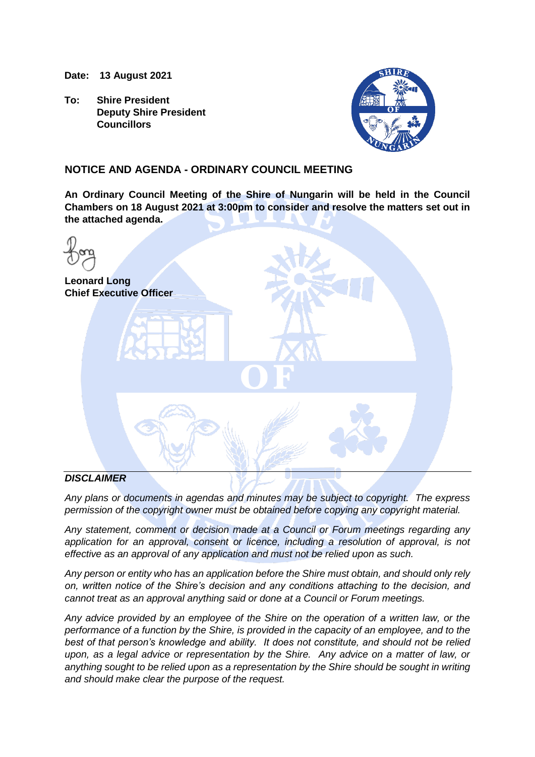**Date: 13 August 2021**

**To: Shire President Deputy Shire President Councillors**



## **NOTICE AND AGENDA - ORDINARY COUNCIL MEETING**

**An Ordinary Council Meeting of the Shire of Nungarin will be held in the Council Chambers on 18 August 2021 at 3:00pm to consider and resolve the matters set out in the attached agenda.**

| <b>Leonard Long</b><br><b>Chief Executive Officer</b> |
|-------------------------------------------------------|
| $\blacksquare$                                        |
|                                                       |

#### *DISCLAIMER*

*Any plans or documents in agendas and minutes may be subject to copyright. The express permission of the copyright owner must be obtained before copying any copyright material.*

*Any statement, comment or decision made at a Council or Forum meetings regarding any application for an approval, consent or licence, including a resolution of approval, is not effective as an approval of any application and must not be relied upon as such.*

*Any person or entity who has an application before the Shire must obtain, and should only rely on, written notice of the Shire's decision and any conditions attaching to the decision, and cannot treat as an approval anything said or done at a Council or Forum meetings.*

*Any advice provided by an employee of the Shire on the operation of a written law, or the performance of a function by the Shire, is provided in the capacity of an employee, and to the best of that person's knowledge and ability. It does not constitute, and should not be relied upon, as a legal advice or representation by the Shire. Any advice on a matter of law, or anything sought to be relied upon as a representation by the Shire should be sought in writing and should make clear the purpose of the request.*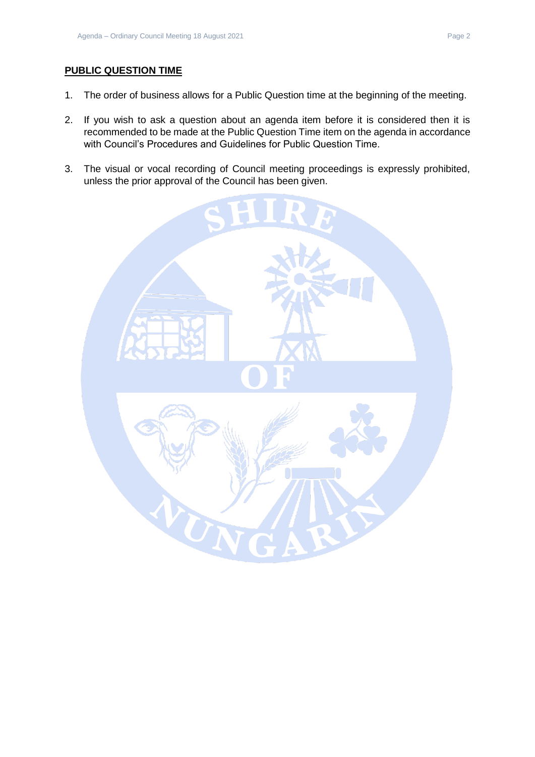## **PUBLIC QUESTION TIME**

- 1. The order of business allows for a Public Question time at the beginning of the meeting.
- 2. If you wish to ask a question about an agenda item before it is considered then it is recommended to be made at the Public Question Time item on the agenda in accordance with Council's Procedures and Guidelines for Public Question Time.
- 3. The visual or vocal recording of Council meeting proceedings is expressly prohibited, unless the prior approval of the Council has been given.

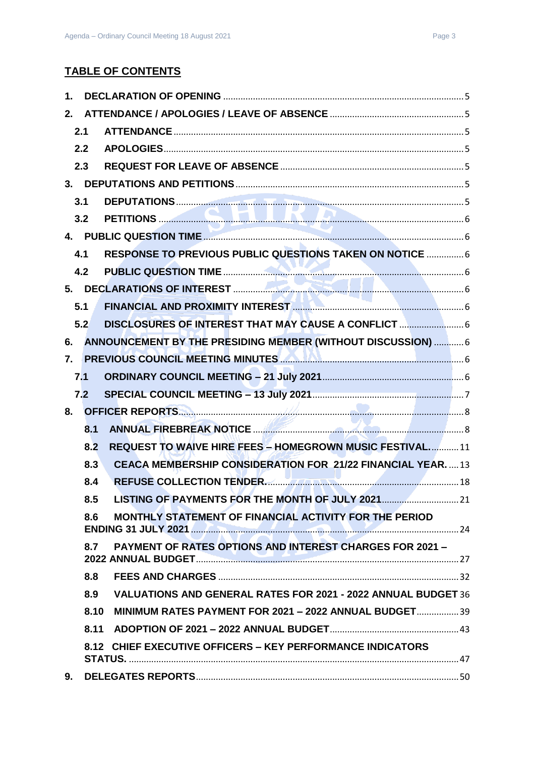## **TABLE OF CONTENTS**

| 1.               |      |                                                                    |  |
|------------------|------|--------------------------------------------------------------------|--|
| 2.               |      |                                                                    |  |
|                  | 2.1  |                                                                    |  |
|                  | 2.2  |                                                                    |  |
|                  | 2.3  |                                                                    |  |
|                  |      |                                                                    |  |
|                  | 3.1  |                                                                    |  |
|                  | 3.2  |                                                                    |  |
|                  |      |                                                                    |  |
|                  | 4.1  | RESPONSE TO PREVIOUS PUBLIC QUESTIONS TAKEN ON NOTICE  6           |  |
|                  | 4.2  |                                                                    |  |
|                  | 5.   |                                                                    |  |
|                  | 5.1  |                                                                    |  |
|                  | 5.2  | DISCLOSURES OF INTEREST THAT MAY CAUSE A CONFLICT                  |  |
| 6.               |      | ANNOUNCEMENT BY THE PRESIDING MEMBER (WITHOUT DISCUSSION)  6       |  |
| $\overline{7}$ . |      | PREVIOUS COUNCIL MEETING MINUTES <b>AND ALL CONTINUES</b> 6        |  |
|                  | 7.1  |                                                                    |  |
|                  | 7.2  |                                                                    |  |
|                  | 8.   |                                                                    |  |
|                  | 8.1  |                                                                    |  |
|                  | 8.2  | <b>REQUEST TO WAIVE HIRE FEES - HOMEGROWN MUSIC FESTIVAL 11</b>    |  |
|                  | 8.3  | <b>CEACA MEMBERSHIP CONSIDERATION FOR 21/22 FINANCIAL YEAR.</b> 13 |  |
|                  | 8.4  | REFUSE COLLECTION TENDER                                           |  |
|                  | 8.5  |                                                                    |  |
|                  | 8.6  | MONTHLY STATEMENT OF FINANCIAL ACTIVITY FOR THE PERIOD             |  |
|                  | 8.7  | <b>PAYMENT OF RATES OPTIONS AND INTEREST CHARGES FOR 2021 -</b>    |  |
|                  | 8.8  |                                                                    |  |
|                  | 8.9  | VALUATIONS AND GENERAL RATES FOR 2021 - 2022 ANNUAL BUDGET 36      |  |
|                  | 8.10 | MINIMUM RATES PAYMENT FOR 2021 - 2022 ANNUAL BUDGET 39             |  |
|                  | 8.11 |                                                                    |  |
|                  |      | 8.12 CHIEF EXECUTIVE OFFICERS - KEY PERFORMANCE INDICATORS         |  |
| 9.               |      |                                                                    |  |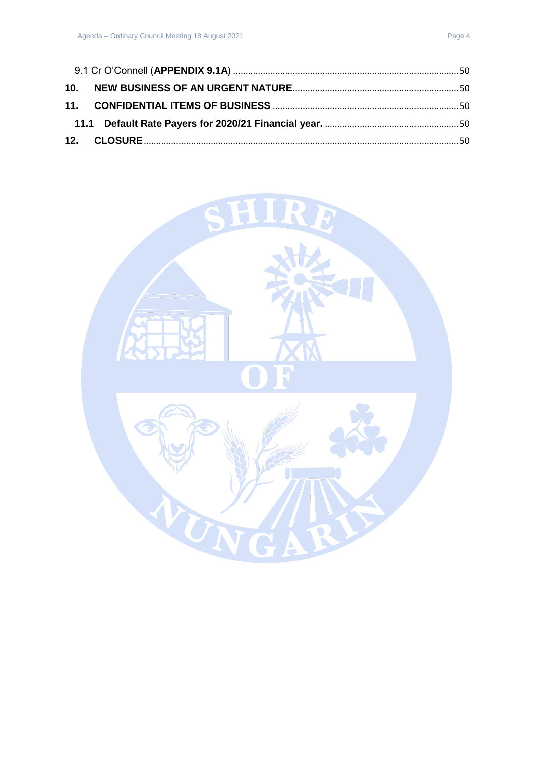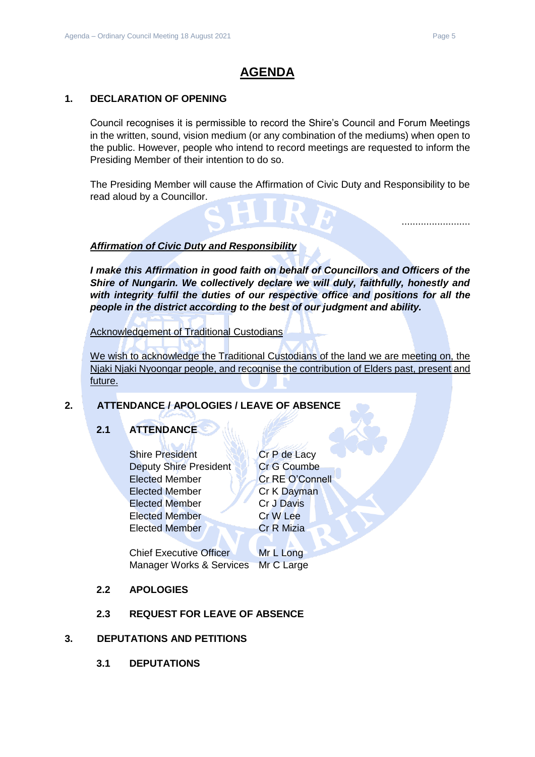## <span id="page-4-0"></span>**1. DECLARATION OF OPENING**

Council recognises it is permissible to record the Shire's Council and Forum Meetings in the written, sound, vision medium (or any combination of the mediums) when open to the public. However, people who intend to record meetings are requested to inform the Presiding Member of their intention to do so.

The Presiding Member will cause the Affirmation of Civic Duty and Responsibility to be read aloud by a Councillor.

#### *Affirmation of Civic Duty and Responsibility*

*I make this Affirmation in good faith on behalf of Councillors and Officers of the Shire of Nungarin. We collectively declare we will duly, faithfully, honestly and with integrity fulfil the duties of our respective office and positions for all the people in the district according to the best of our judgment and ability.*

Acknowledgement of Traditional Custodians

We wish to acknowledge the Traditional Custodians of the land we are meeting on, the Njaki Njaki Nyoongar people, and recognise the contribution of Elders past, present and future.

## <span id="page-4-2"></span><span id="page-4-1"></span>**2. ATTENDANCE / APOLOGIES / LEAVE OF ABSENCE**

## **2.1 ATTENDANCE**

Shire President Cr P de Lacy Deputy Shire President Cr G Coumbe Elected Member Cr RE O'Connell Elected Member Cr K Dayman Elected Member Cr J Davis Elected Member Cr W Lee Elected Member **Cr R Mizia** 

Chief Executive Officer Mr L Long Manager Works & Services Mr C Large

#### <span id="page-4-3"></span>**2.2 APOLOGIES**

#### **2.3 REQUEST FOR LEAVE OF ABSENCE**

#### <span id="page-4-6"></span><span id="page-4-5"></span><span id="page-4-4"></span>**3. DEPUTATIONS AND PETITIONS**

**3.1 DEPUTATIONS**

.........................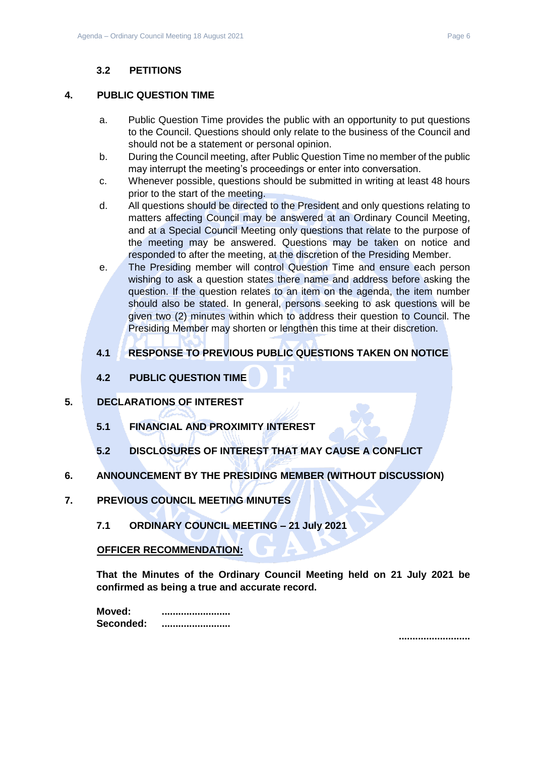## **3.2 PETITIONS**

#### <span id="page-5-1"></span><span id="page-5-0"></span>**4. PUBLIC QUESTION TIME**

- a. Public Question Time provides the public with an opportunity to put questions to the Council. Questions should only relate to the business of the Council and should not be a statement or personal opinion.
- b. During the Council meeting, after Public Question Time no member of the public may interrupt the meeting's proceedings or enter into conversation.
- c. Whenever possible, questions should be submitted in writing at least 48 hours prior to the start of the meeting.
- d. All questions should be directed to the President and only questions relating to matters affecting Council may be answered at an Ordinary Council Meeting, and at a Special Council Meeting only questions that relate to the purpose of the meeting may be answered. Questions may be taken on notice and responded to after the meeting, at the discretion of the Presiding Member.
- e. The Presiding member will control Question Time and ensure each person wishing to ask a question states there name and address before asking the question. If the question relates to an item on the agenda, the item number should also be stated. In general, persons seeking to ask questions will be given two (2) minutes within which to address their question to Council. The Presiding Member may shorten or lengthen this time at their discretion.

## <span id="page-5-2"></span>**4.1 RESPONSE TO PREVIOUS PUBLIC QUESTIONS TAKEN ON NOTICE**

**4.2 PUBLIC QUESTION TIME**

## <span id="page-5-5"></span><span id="page-5-4"></span><span id="page-5-3"></span>**5. DECLARATIONS OF INTEREST**

- **5.1 FINANCIAL AND PROXIMITY INTEREST**
- **5.2 DISCLOSURES OF INTEREST THAT MAY CAUSE A CONFLICT**
- <span id="page-5-7"></span><span id="page-5-6"></span>**6. ANNOUNCEMENT BY THE PRESIDING MEMBER (WITHOUT DISCUSSION)**
- <span id="page-5-9"></span><span id="page-5-8"></span>**7. PREVIOUS COUNCIL MEETING MINUTES**
	- **7.1 ORDINARY COUNCIL MEETING – 21 July 2021**

#### **OFFICER RECOMMENDATION:**

**That the Minutes of the Ordinary Council Meeting held on 21 July 2021 be confirmed as being a true and accurate record.**

| Moved:    |  |
|-----------|--|
| Seconded: |  |

**..........................**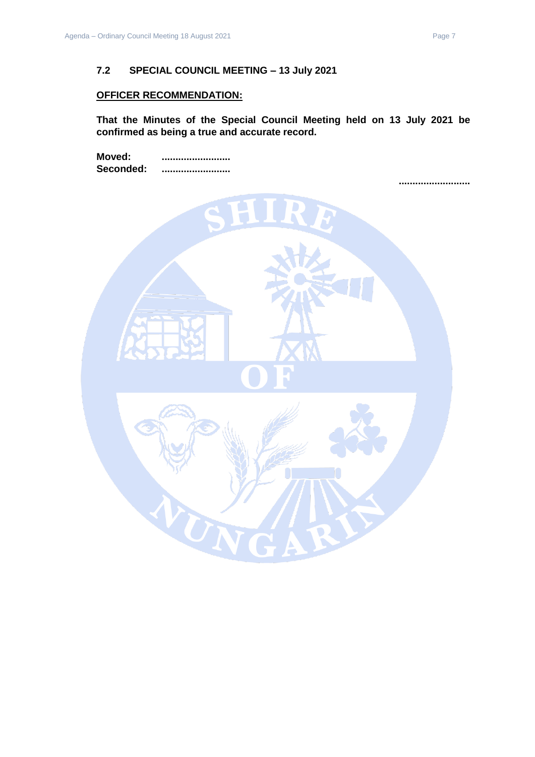## <span id="page-6-0"></span>**OFFICER RECOMMENDATION:**

**That the Minutes of the Special Council Meeting held on 13 July 2021 be confirmed as being a true and accurate record.**

**Moved: ......................... Seconded: .........................**

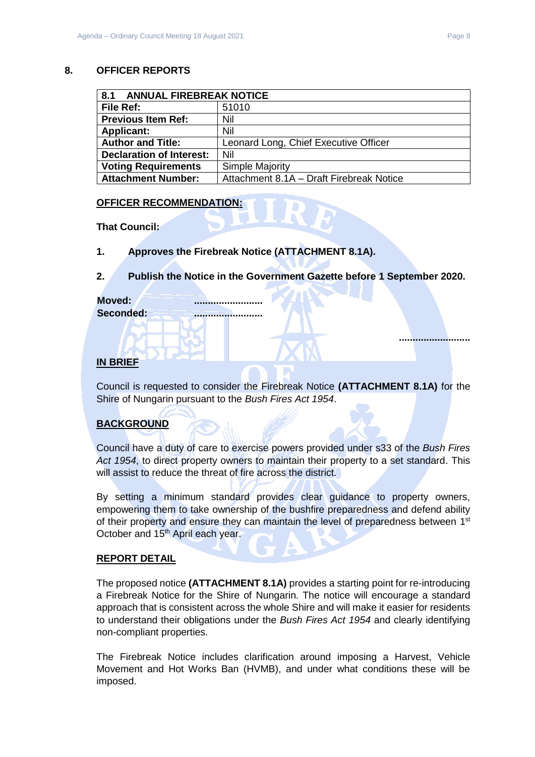#### <span id="page-7-0"></span>**8. OFFICER REPORTS**

<span id="page-7-1"></span>

| 8.1<br><b>ANNUAL FIREBREAK NOTICE</b> |                                          |  |
|---------------------------------------|------------------------------------------|--|
| File Ref:                             | 51010                                    |  |
| <b>Previous Item Ref:</b>             | Nil                                      |  |
| <b>Applicant:</b>                     | Nil                                      |  |
| <b>Author and Title:</b>              | Leonard Long, Chief Executive Officer    |  |
| <b>Declaration of Interest:</b>       | Nil                                      |  |
| <b>Voting Requirements</b>            | Simple Majority                          |  |
| <b>Attachment Number:</b>             | Attachment 8.1A - Draft Firebreak Notice |  |

#### **OFFICER RECOMMENDATION:**

**That Council:**

**1. Approves the Firebreak Notice (ATTACHMENT 8.1A).**

## **2. Publish the Notice in the Government Gazette before 1 September 2020.**

| Moved:    |  |
|-----------|--|
| Seconded: |  |

## **IN BRIEF**

Council is requested to consider the Firebreak Notice **(ATTACHMENT 8.1A)** for the Shire of Nungarin pursuant to the *Bush Fires Act 1954*.

## **BACKGROUND**

Council have a duty of care to exercise powers provided under s33 of the *Bush Fires Act 1954*, to direct property owners to maintain their property to a set standard. This will assist to reduce the threat of fire across the district.

By setting a minimum standard provides clear guidance to property owners, empowering them to take ownership of the bushfire preparedness and defend ability of their property and ensure they can maintain the level of preparedness between 1<sup>st</sup> October and 15<sup>th</sup> April each year.

#### **REPORT DETAIL**

The proposed notice **(ATTACHMENT 8.1A)** provides a starting point for re-introducing a Firebreak Notice for the Shire of Nungarin. The notice will encourage a standard approach that is consistent across the whole Shire and will make it easier for residents to understand their obligations under the *Bush Fires Act 1954* and clearly identifying non-compliant properties.

The Firebreak Notice includes clarification around imposing a Harvest, Vehicle Movement and Hot Works Ban (HVMB), and under what conditions these will be imposed.

**..........................**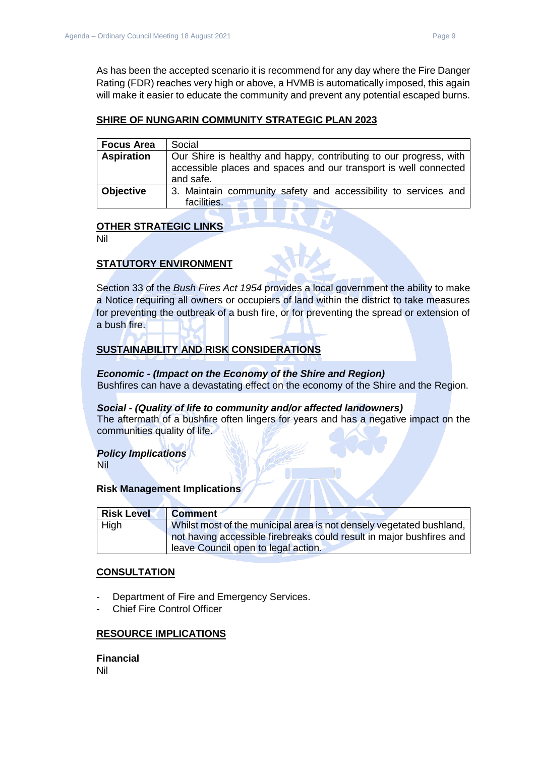As has been the accepted scenario it is recommend for any day where the Fire Danger Rating (FDR) reaches very high or above, a HVMB is automatically imposed, this again will make it easier to educate the community and prevent any potential escaped burns.

#### **SHIRE OF NUNGARIN COMMUNITY STRATEGIC PLAN 2023**

| <b>Focus Area</b> | Social                                                                                                                                              |  |
|-------------------|-----------------------------------------------------------------------------------------------------------------------------------------------------|--|
| <b>Aspiration</b> | Our Shire is healthy and happy, contributing to our progress, with<br>accessible places and spaces and our transport is well connected<br>and safe. |  |
| <b>Objective</b>  | 3. Maintain community safety and accessibility to services and<br>facilities.                                                                       |  |

## **OTHER STRATEGIC LINKS**

Nil

## **STATUTORY ENVIRONMENT**

Section 33 of the *Bush Fires Act 1954* provides a local government the ability to make a Notice requiring all owners or occupiers of land within the district to take measures for preventing the outbreak of a bush fire, or for preventing the spread or extension of a bush fire.

## **SUSTAINABILITY AND RISK CONSIDERATIONS**

*Economic - (Impact on the Economy of the Shire and Region)* Bushfires can have a devastating effect on the economy of the Shire and the Region.

#### *Social - (Quality of life to community and/or affected landowners)*

The aftermath of a bushfire often lingers for years and has a negative impact on the communities quality of life.

#### *Policy Implications*

Nil

#### **Risk Management Implications**

| <b>Risk Level</b> | <b>Comment</b>                                                       |
|-------------------|----------------------------------------------------------------------|
| High              | Whilst most of the municipal area is not densely vegetated bushland, |
|                   | not having accessible firebreaks could result in major bushfires and |
|                   | leave Council open to legal action.                                  |

#### **CONSULTATION**

- Department of Fire and Emergency Services.
- Chief Fire Control Officer

#### **RESOURCE IMPLICATIONS**

**Financial** Nil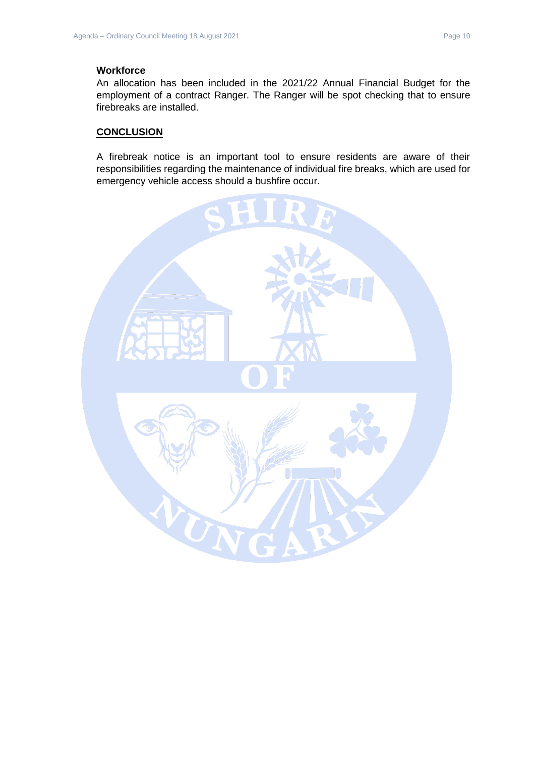#### **Workforce**

An allocation has been included in the 2021/22 Annual Financial Budget for the employment of a contract Ranger. The Ranger will be spot checking that to ensure firebreaks are installed.

#### **CONCLUSION**

A firebreak notice is an important tool to ensure residents are aware of their responsibilities regarding the maintenance of individual fire breaks, which are used for emergency vehicle access should a bushfire occur.

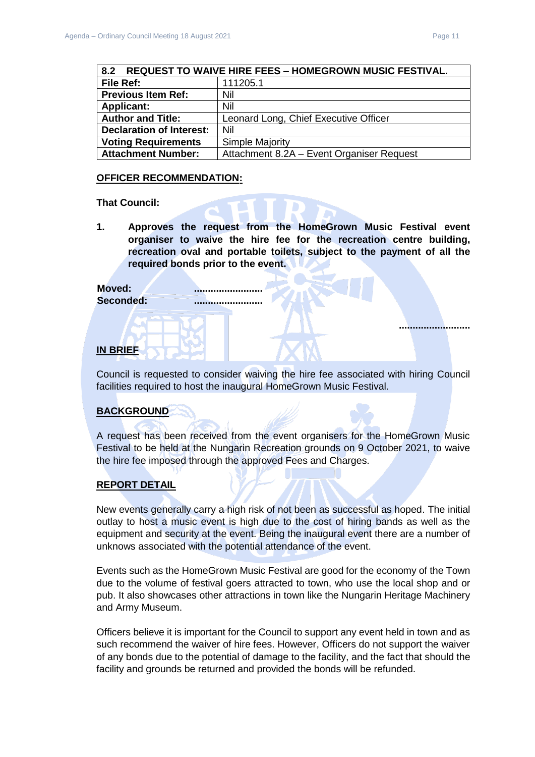**..........................**

<span id="page-10-0"></span>

| <b>REQUEST TO WAIVE HIRE FEES - HOMEGROWN MUSIC FESTIVAL.</b><br>8.2 |                                           |  |
|----------------------------------------------------------------------|-------------------------------------------|--|
| File Ref:                                                            | 111205.1                                  |  |
| <b>Previous Item Ref:</b>                                            | Nil                                       |  |
| <b>Applicant:</b>                                                    | Nil                                       |  |
| <b>Author and Title:</b>                                             | Leonard Long, Chief Executive Officer     |  |
| <b>Declaration of Interest:</b>                                      | Nil                                       |  |
| <b>Voting Requirements</b>                                           | <b>Simple Majority</b>                    |  |
| <b>Attachment Number:</b>                                            | Attachment 8.2A - Event Organiser Request |  |

#### **OFFICER RECOMMENDATION:**

#### **That Council:**

**1. Approves the request from the HomeGrown Music Festival event organiser to waive the hire fee for the recreation centre building, recreation oval and portable toilets, subject to the payment of all the required bonds prior to the event.**

## Moved:

#### **Seconded: .........................**

#### **IN BRIEF**

Council is requested to consider waiving the hire fee associated with hiring Council facilities required to host the inaugural HomeGrown Music Festival.

#### **BACKGROUND**

A request has been received from the event organisers for the HomeGrown Music Festival to be held at the Nungarin Recreation grounds on 9 October 2021, to waive the hire fee imposed through the approved Fees and Charges.

#### **REPORT DETAIL**

New events generally carry a high risk of not been as successful as hoped. The initial outlay to host a music event is high due to the cost of hiring bands as well as the equipment and security at the event. Being the inaugural event there are a number of unknows associated with the potential attendance of the event.

Events such as the HomeGrown Music Festival are good for the economy of the Town due to the volume of festival goers attracted to town, who use the local shop and or pub. It also showcases other attractions in town like the Nungarin Heritage Machinery and Army Museum.

Officers believe it is important for the Council to support any event held in town and as such recommend the waiver of hire fees. However, Officers do not support the waiver of any bonds due to the potential of damage to the facility, and the fact that should the facility and grounds be returned and provided the bonds will be refunded.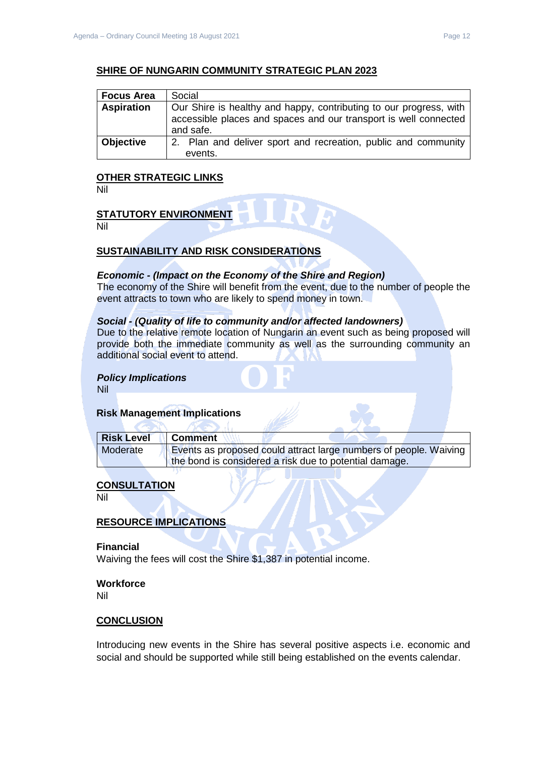#### **SHIRE OF NUNGARIN COMMUNITY STRATEGIC PLAN 2023**

| <b>Focus Area</b> | Social                                                                                                                                              |  |
|-------------------|-----------------------------------------------------------------------------------------------------------------------------------------------------|--|
| <b>Aspiration</b> | Our Shire is healthy and happy, contributing to our progress, with<br>accessible places and spaces and our transport is well connected<br>and safe. |  |
| <b>Objective</b>  | 2. Plan and deliver sport and recreation, public and community<br>events.                                                                           |  |

#### **OTHER STRATEGIC LINKS**

Nil

## **STATUTORY ENVIRONMENT**

Nil

#### **SUSTAINABILITY AND RISK CONSIDERATIONS**

#### *Economic - (Impact on the Economy of the Shire and Region)*

The economy of the Shire will benefit from the event, due to the number of people the event attracts to town who are likely to spend money in town.

#### *Social - (Quality of life to community and/or affected landowners)*

Due to the relative remote location of Nungarin an event such as being proposed will provide both the immediate community as well as the surrounding community an additional social event to attend.

#### *Policy Implications*

Nil

#### **Risk Management Implications**

| <b>Risk Level</b> | <b>Comment</b>                                                    |
|-------------------|-------------------------------------------------------------------|
| Moderate          | Events as proposed could attract large numbers of people. Waiving |
|                   | the bond is considered a risk due to potential damage.            |

#### **CONSULTATION**

Nil

#### **RESOURCE IMPLICATIONS**

#### **Financial**

Waiving the fees will cost the Shire \$1,387 in potential income.

## **Workforce**

Nil

#### **CONCLUSION**

Introducing new events in the Shire has several positive aspects i.e. economic and social and should be supported while still being established on the events calendar.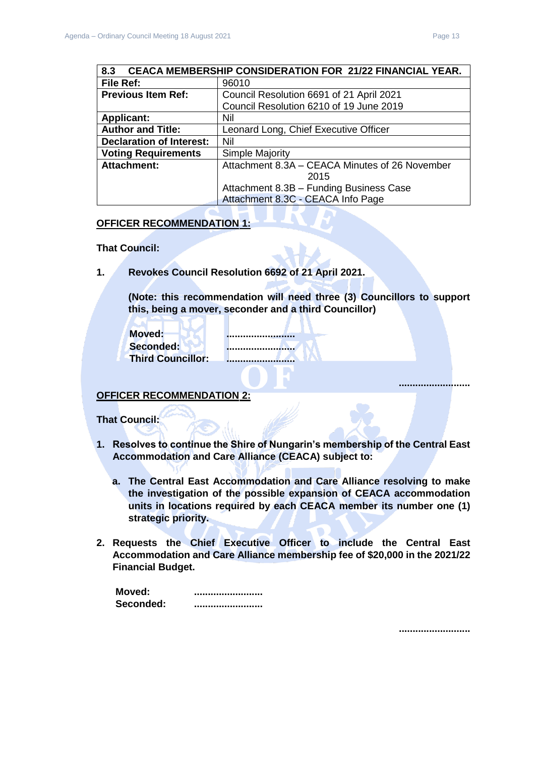<span id="page-12-0"></span>

| <b>CEACA MEMBERSHIP CONSIDERATION FOR 21/22 FINANCIAL YEAR.</b><br>8.3 |                                                |
|------------------------------------------------------------------------|------------------------------------------------|
| File Ref:                                                              | 96010                                          |
| <b>Previous Item Ref:</b>                                              | Council Resolution 6691 of 21 April 2021       |
|                                                                        | Council Resolution 6210 of 19 June 2019        |
| <b>Applicant:</b>                                                      | Nil                                            |
| <b>Author and Title:</b>                                               | Leonard Long, Chief Executive Officer          |
| <b>Declaration of Interest:</b>                                        | Nil                                            |
| <b>Voting Requirements</b>                                             | Simple Majority                                |
| <b>Attachment:</b>                                                     | Attachment 8.3A - CEACA Minutes of 26 November |
|                                                                        | 2015                                           |
|                                                                        | Attachment 8.3B - Funding Business Case        |
|                                                                        | Attachment 8.3C - CEACA Info Page              |

#### **OFFICER RECOMMENDATION 1:**

**That Council:**

**1. Revokes Council Resolution 6692 of 21 April 2021.**

**(Note: this recommendation will need three (3) Councillors to support this, being a mover, seconder and a third Councillor)**

| Moved:                   |
|--------------------------|
| Seconded:                |
| <b>Third Councillor:</b> |

λſ

**Moved: ......................... Seconded: ......................... Third Councillor: .........................**

**OFFICER RECOMMENDATION 2:**

**That Council:**

- **1. Resolves to continue the Shire of Nungarin's membership of the Central East Accommodation and Care Alliance (CEACA) subject to:**
	- **a. The Central East Accommodation and Care Alliance resolving to make the investigation of the possible expansion of CEACA accommodation units in locations required by each CEACA member its number one (1) strategic priority.**
- **2. Requests the Chief Executive Officer to include the Central East Accommodation and Care Alliance membership fee of \$20,000 in the 2021/22 Financial Budget.**

| Moved:    |                            |
|-----------|----------------------------|
| Seconded: | -------------------------- |

**..........................**

**..........................**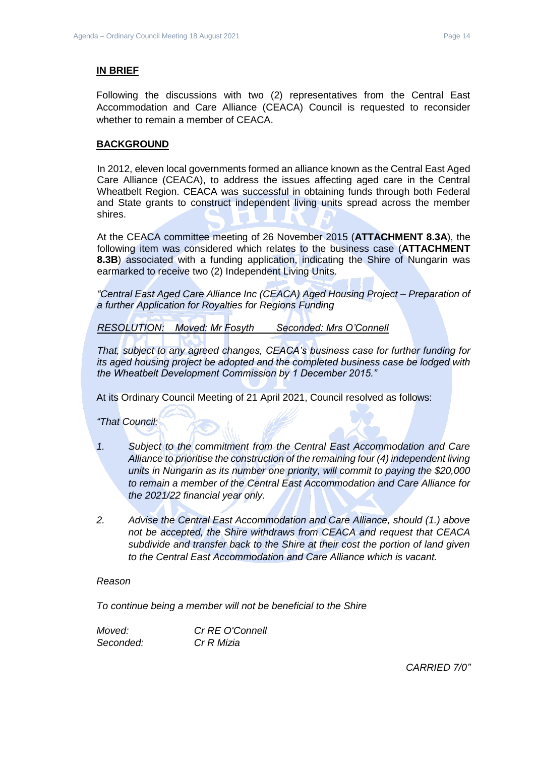#### **IN BRIEF**

Following the discussions with two (2) representatives from the Central East Accommodation and Care Alliance (CEACA) Council is requested to reconsider whether to remain a member of CEACA.

#### **BACKGROUND**

In 2012, eleven local governments formed an alliance known as the Central East Aged Care Alliance (CEACA), to address the issues affecting aged care in the Central Wheatbelt Region. CEACA was successful in obtaining funds through both Federal and State grants to construct independent living units spread across the member shires.

At the CEACA committee meeting of 26 November 2015 (**ATTACHMENT 8.3A**), the following item was considered which relates to the business case (**ATTACHMENT 8.3B**) associated with a funding application, indicating the Shire of Nungarin was earmarked to receive two (2) Independent Living Units.

*"Central East Aged Care Alliance Inc (CEACA) Aged Housing Project – Preparation of a further Application for Royalties for Regions Funding*

*RESOLUTION: Moved: Mr Fosyth Seconded: Mrs O'Connell*

*That, subject to any agreed changes, CEACA's business case for further funding for its aged housing project be adopted and the completed business case be lodged with the Wheatbelt Development Commission by 1 December 2015."*

At its Ordinary Council Meeting of 21 April 2021, Council resolved as follows:

*"That Council:*

- *1. Subject to the commitment from the Central East Accommodation and Care Alliance to prioritise the construction of the remaining four (4) independent living units in Nungarin as its number one priority, will commit to paying the \$20,000 to remain a member of the Central East Accommodation and Care Alliance for the 2021/22 financial year only.*
- *2. Advise the Central East Accommodation and Care Alliance, should (1.) above not be accepted, the Shire withdraws from CEACA and request that CEACA subdivide and transfer back to the Shire at their cost the portion of land given to the Central East Accommodation and Care Alliance which is vacant.*

#### *Reason*

*To continue being a member will not be beneficial to the Shire*

*Moved: Cr RE O'Connell Seconded: Cr R Mizia*

*CARRIED 7/0"*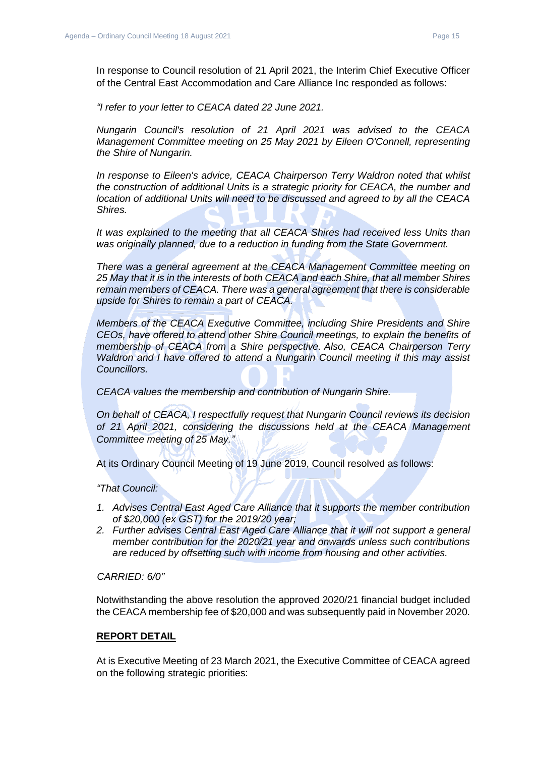In response to Council resolution of 21 April 2021, the Interim Chief Executive Officer of the Central East Accommodation and Care Alliance Inc responded as follows:

*"I refer to your letter to CEACA dated 22 June 2021.*

*Nungarin Council's resolution of 21 April 2021 was advised to the CEACA Management Committee meeting on 25 May 2021 by Eileen O'Connell, representing the Shire of Nungarin.*

*In response to Eileen's advice, CEACA Chairperson Terry Waldron noted that whilst the construction of additional Units is a strategic priority for CEACA, the number and location of additional Units will need to be discussed and agreed to by all the CEACA Shires.*

*It was explained to the meeting that all CEACA Shires had received less Units than was originally planned, due to a reduction in funding from the State Government.*

*There was a general agreement at the CEACA Management Committee meeting on 25 May that it is in the interests of both CEACA and each Shire, that all member Shires remain members of CEACA. There was a general agreement that there is considerable upside for Shires to remain a part of CEACA.*

*Members of the CEACA Executive Committee, including Shire Presidents and Shire CEOs, have offered to attend other Shire Council meetings, to explain the benefits of membership of CEACA from a Shire perspective. Also, CEACA Chairperson Terry Waldron and I have offered to attend a Nungarin Council meeting if this may assist Councillors.*

*CEACA values the membership and contribution of Nungarin Shire.*

*On behalf of CEACA, I respectfully request that Nungarin Council reviews its decision of 21 April 2021, considering the discussions held at the CEACA Management Committee meeting of 25 May."*

At its Ordinary Council Meeting of 19 June 2019, Council resolved as follows:

*"That Council:*

- *1. Advises Central East Aged Care Alliance that it supports the member contribution of \$20,000 (ex GST) for the 2019/20 year;*
- *2. Further advises Central East Aged Care Alliance that it will not support a general member contribution for the 2020/21 year and onwards unless such contributions are reduced by offsetting such with income from housing and other activities.*

*CARRIED: 6/0"*

Notwithstanding the above resolution the approved 2020/21 financial budget included the CEACA membership fee of \$20,000 and was subsequently paid in November 2020.

#### **REPORT DETAIL**

At is Executive Meeting of 23 March 2021, the Executive Committee of CEACA agreed on the following strategic priorities: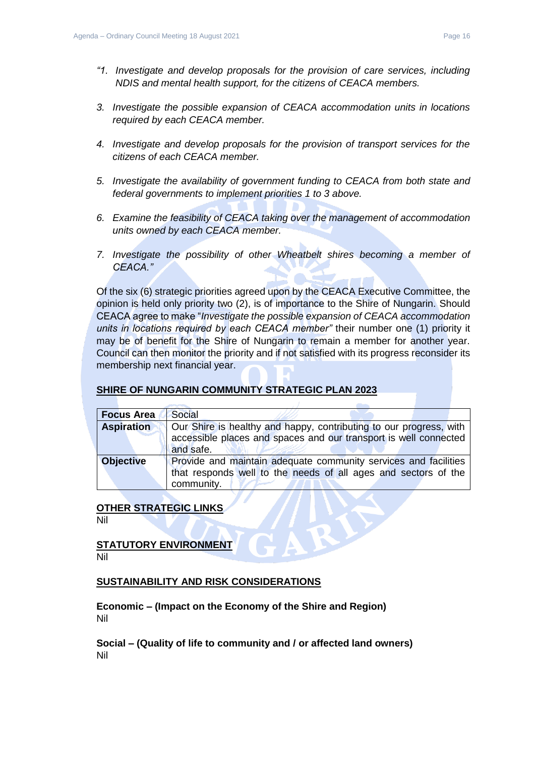- *"1. Investigate and develop proposals for the provision of care services, including NDIS and mental health support, for the citizens of CEACA members.*
- *3. Investigate the possible expansion of CEACA accommodation units in locations required by each CEACA member.*
- *4. Investigate and develop proposals for the provision of transport services for the citizens of each CEACA member.*
- *5. Investigate the availability of government funding to CEACA from both state and federal governments to implement priorities 1 to 3 above.*
- *6. Examine the feasibility of CEACA taking over the management of accommodation units owned by each CEACA member.*
- *7. Investigate the possibility of other Wheatbelt shires becoming a member of CEACA."*

Of the six (6) strategic priorities agreed upon by the CEACA Executive Committee, the opinion is held only priority two (2), is of importance to the Shire of Nungarin. Should CEACA agree to make "*Investigate the possible expansion of CEACA accommodation units in locations required by each CEACA member"* their number one (1) priority it may be of benefit for the Shire of Nungarin to remain a member for another year. Council can then monitor the priority and if not satisfied with its progress reconsider its membership next financial year.

#### **SHIRE OF NUNGARIN COMMUNITY STRATEGIC PLAN 2023**

| <b>Focus Area</b> | Social                                                             |  |  |
|-------------------|--------------------------------------------------------------------|--|--|
| <b>Aspiration</b> | Our Shire is healthy and happy, contributing to our progress, with |  |  |
|                   | accessible places and spaces and our transport is well connected   |  |  |
|                   | and safe.                                                          |  |  |
| <b>Objective</b>  | Provide and maintain adequate community services and facilities    |  |  |
|                   | that responds well to the needs of all ages and sectors of the     |  |  |
|                   | community.                                                         |  |  |

#### **OTHER STRATEGIC LINKS**

Nil

**STATUTORY ENVIRONMENT** Nil

#### **SUSTAINABILITY AND RISK CONSIDERATIONS**

**Economic – (Impact on the Economy of the Shire and Region)** Nil

**Social – (Quality of life to community and / or affected land owners)** Nil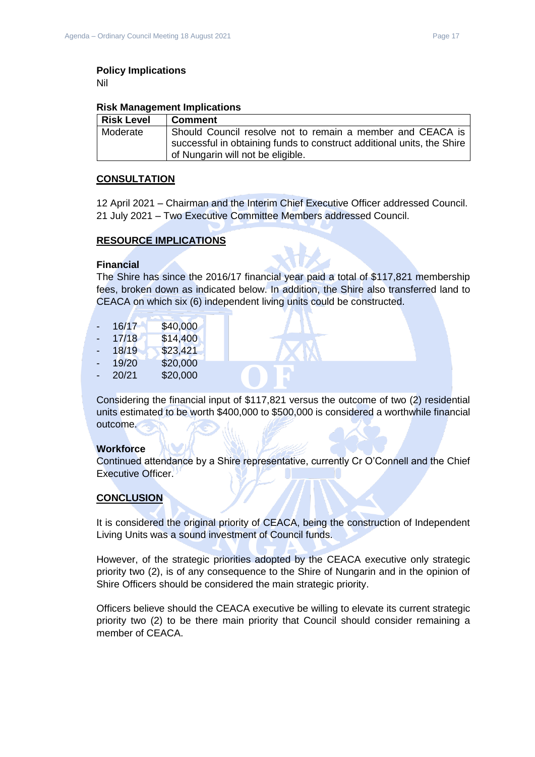## **Policy Implications**

Nil

#### **Risk Management Implications**

| <b>Risk Level</b> | <b>Comment</b>                                                         |
|-------------------|------------------------------------------------------------------------|
| Moderate          | Should Council resolve not to remain a member and CEACA is             |
|                   | successful in obtaining funds to construct additional units, the Shire |
|                   | of Nungarin will not be eligible.                                      |

#### **CONSULTATION**

12 April 2021 – Chairman and the Interim Chief Executive Officer addressed Council. 21 July 2021 – Two Executive Committee Members addressed Council.

#### **RESOURCE IMPLICATIONS**

#### **Financial**

The Shire has since the 2016/17 financial year paid a total of \$117,821 membership fees, broken down as indicated below. In addition, the Shire also transferred land to CEACA on which six (6) independent living units could be constructed.

| ۰  | 16/17 | \$40,000 |
|----|-------|----------|
|    | 17/18 | \$14,400 |
| ۰. | 18/19 | \$23,421 |
| ۳  | 19/20 | \$20,000 |
| -  | 20/21 | \$20,000 |
|    |       |          |

Considering the financial input of \$117,821 versus the outcome of two (2) residential units estimated to be worth \$400,000 to \$500,000 is considered a worthwhile financial outcome.

#### **Workforce**

Continued attendance by a Shire representative, currently Cr O'Connell and the Chief Executive Officer.

#### **CONCLUSION**

It is considered the original priority of CEACA, being the construction of Independent Living Units was a sound investment of Council funds.

However, of the strategic priorities adopted by the CEACA executive only strategic priority two (2), is of any consequence to the Shire of Nungarin and in the opinion of Shire Officers should be considered the main strategic priority.

Officers believe should the CEACA executive be willing to elevate its current strategic priority two (2) to be there main priority that Council should consider remaining a member of CEACA.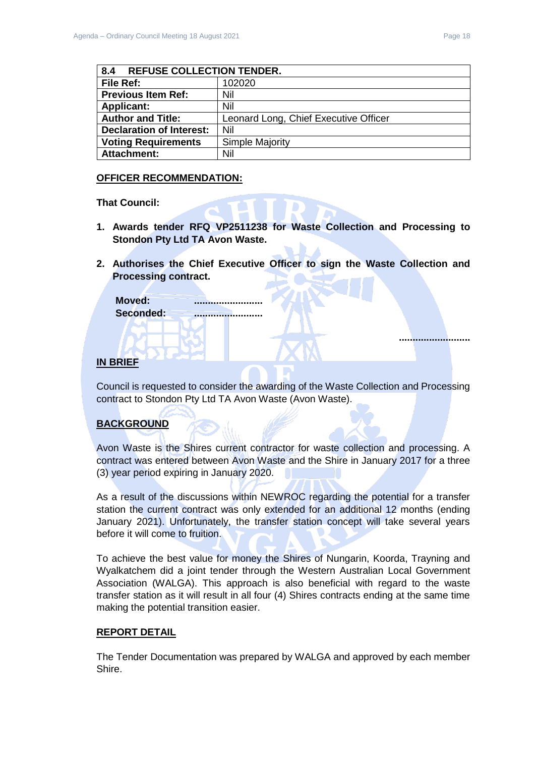**..........................**

<span id="page-17-0"></span>

| 8.4<br><b>REFUSE COLLECTION TENDER.</b> |                                       |  |
|-----------------------------------------|---------------------------------------|--|
| File Ref:                               | 102020                                |  |
| <b>Previous Item Ref:</b>               | Nil                                   |  |
| <b>Applicant:</b>                       | Nil                                   |  |
| <b>Author and Title:</b>                | Leonard Long, Chief Executive Officer |  |
| <b>Declaration of Interest:</b>         | Nil                                   |  |
| <b>Voting Requirements</b>              | Simple Majority                       |  |
| <b>Attachment:</b>                      | Nil                                   |  |

#### **OFFICER RECOMMENDATION:**

**That Council:**

- **1. Awards tender RFQ VP2511238 for Waste Collection and Processing to Stondon Pty Ltd TA Avon Waste.**
- **2. Authorises the Chief Executive Officer to sign the Waste Collection and Processing contract.**

| Moved:    | ,,,,,,,,,,,,,,,,,,,,,,,,, |
|-----------|---------------------------|
| Seconded: |                           |
|           |                           |

#### **IN BRIEF**

Council is requested to consider the awarding of the Waste Collection and Processing contract to Stondon Pty Ltd TA Avon Waste (Avon Waste).

## **BACKGROUND**

Avon Waste is the Shires current contractor for waste collection and processing. A contract was entered between Avon Waste and the Shire in January 2017 for a three (3) year period expiring in January 2020.

As a result of the discussions within NEWROC regarding the potential for a transfer station the current contract was only extended for an additional 12 months (ending January 2021). Unfortunately, the transfer station concept will take several years before it will come to fruition.

To achieve the best value for money the Shires of Nungarin, Koorda, Trayning and Wyalkatchem did a joint tender through the Western Australian Local Government Association (WALGA). This approach is also beneficial with regard to the waste transfer station as it will result in all four (4) Shires contracts ending at the same time making the potential transition easier.

#### **REPORT DETAIL**

The Tender Documentation was prepared by WALGA and approved by each member Shire.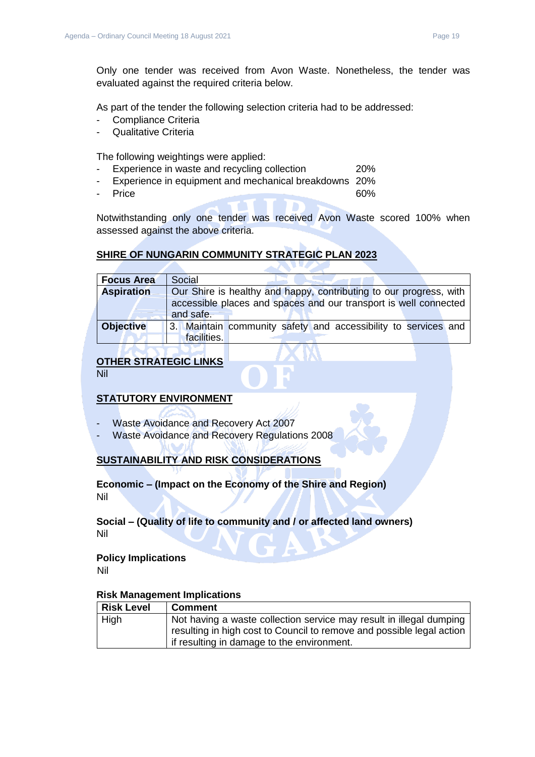As part of the tender the following selection criteria had to be addressed:

- Compliance Criteria
- Qualitative Criteria

The following weightings were applied:

- Experience in waste and recycling collection 20%
- Experience in equipment and mechanical breakdowns 20%
- Price 60%

Notwithstanding only one tender was received Avon Waste scored 100% when assessed against the above criteria.

## **SHIRE OF NUNGARIN COMMUNITY STRATEGIC PLAN 2023**

| <b>Focus Area</b> | Social                                                             |
|-------------------|--------------------------------------------------------------------|
| <b>Aspiration</b> | Our Shire is healthy and happy, contributing to our progress, with |
|                   | accessible places and spaces and our transport is well connected   |
|                   | and safe.                                                          |
| <b>Objective</b>  | 3. Maintain community safety and accessibility to services and     |
|                   | facilities.                                                        |

## **OTHER STRATEGIC LINKS**

Nil

## **STATUTORY ENVIRONMENT**

- Waste Avoidance and Recovery Act 2007
- Waste Avoidance and Recovery Regulations 2008

## **SUSTAINABILITY AND RISK CONSIDERATIONS**

## **Economic – (Impact on the Economy of the Shire and Region)** Nil

#### **Social – (Quality of life to community and / or affected land owners)** Nil

## **Policy Implications**

Nil

#### **Risk Management Implications**

| <b>Risk Level</b> | <b>Comment</b>                                                        |
|-------------------|-----------------------------------------------------------------------|
| High              | Not having a waste collection service may result in illegal dumping   |
|                   | resulting in high cost to Council to remove and possible legal action |
|                   | if resulting in damage to the environment.                            |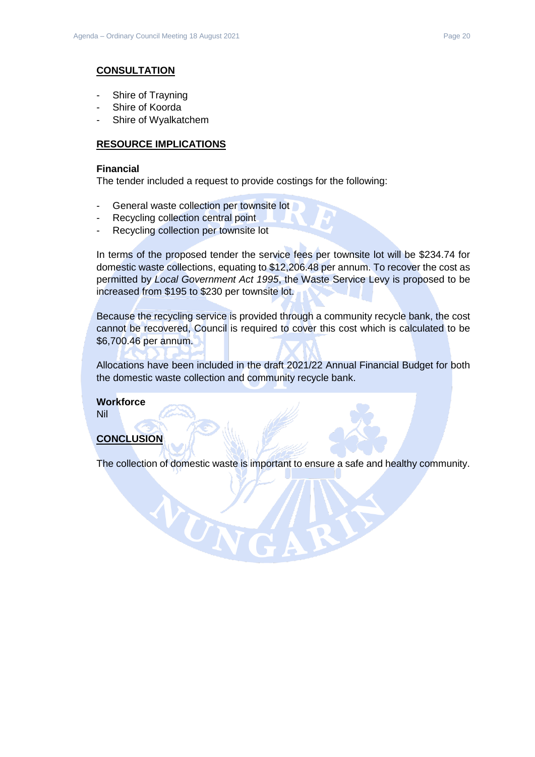#### **CONSULTATION**

- Shire of Trayning
- Shire of Koorda
- Shire of Wyalkatchem

#### **RESOURCE IMPLICATIONS**

#### **Financial**

The tender included a request to provide costings for the following:

- General waste collection per townsite lot

VUN

- Recycling collection central point
- Recycling collection per townsite lot

In terms of the proposed tender the service fees per townsite lot will be \$234.74 for domestic waste collections, equating to \$12,206.48 per annum. To recover the cost as permitted by *Local Government Act 1995*, the Waste Service Levy is proposed to be increased from \$195 to \$230 per townsite lot.

Because the recycling service is provided through a community recycle bank, the cost cannot be recovered, Council is required to cover this cost which is calculated to be \$6,700.46 per annum.

Allocations have been included in the draft 2021/22 Annual Financial Budget for both the domestic waste collection and community recycle bank.

**Workforce** Nil

#### **CONCLUSION**

The collection of domestic waste is important to ensure a safe and healthy community.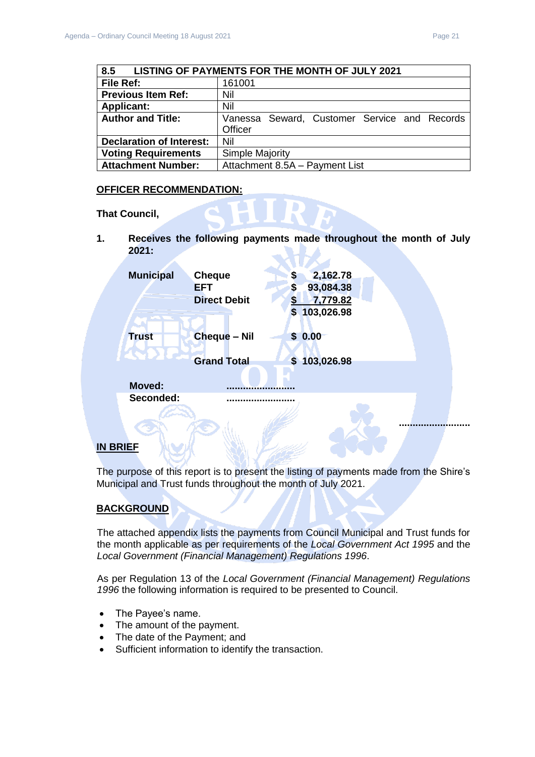<span id="page-20-0"></span>

| 8.5<br>LISTING OF PAYMENTS FOR THE MONTH OF JULY 2021 |                                              |  |  |
|-------------------------------------------------------|----------------------------------------------|--|--|
| File Ref:                                             | 161001                                       |  |  |
| <b>Previous Item Ref:</b>                             | Nil                                          |  |  |
| <b>Applicant:</b>                                     | Nil                                          |  |  |
| <b>Author and Title:</b>                              | Vanessa Seward, Customer Service and Records |  |  |
|                                                       | Officer                                      |  |  |
| <b>Declaration of Interest:</b>                       | Nil                                          |  |  |
| <b>Voting Requirements</b>                            | <b>Simple Majority</b>                       |  |  |
| <b>Attachment Number:</b>                             | Attachment 8.5A - Payment List               |  |  |

#### **OFFICER RECOMMENDATION:**

**That Council,** 

**1. Receives the following payments made throughout the month of July 2021:**

| <b>Municipal</b> | <b>Cheque</b><br><b>EFT</b> | \$<br>\$ | 2,162.78<br>93,084.38 |  |
|------------------|-----------------------------|----------|-----------------------|--|
|                  | <b>Direct Debit</b>         | S        | 7,779.82              |  |
|                  |                             | \$       | 103,026.98            |  |
| <b>Trust</b>     | <b>Cheque - Nil</b>         | \$0.00   |                       |  |
|                  | <b>Grand Total</b>          |          | \$103,026.98          |  |
| <b>Moved:</b>    |                             |          |                       |  |
| Seconded:        |                             |          |                       |  |
|                  |                             |          |                       |  |
|                  |                             |          |                       |  |

## **IN BRIEF**

The purpose of this report is to present the listing of payments made from the Shire's Municipal and Trust funds throughout the month of July 2021.

## **BACKGROUND**

The attached appendix lists the payments from Council Municipal and Trust funds for the month applicable as per requirements of the *Local Government Act 1995* and the *Local Government (Financial Management) Regulations 1996*.

As per Regulation 13 of the *Local Government (Financial Management) Regulations 1996* the following information is required to be presented to Council.

- The Payee's name.
- The amount of the payment.
- The date of the Payment; and
- Sufficient information to identify the transaction.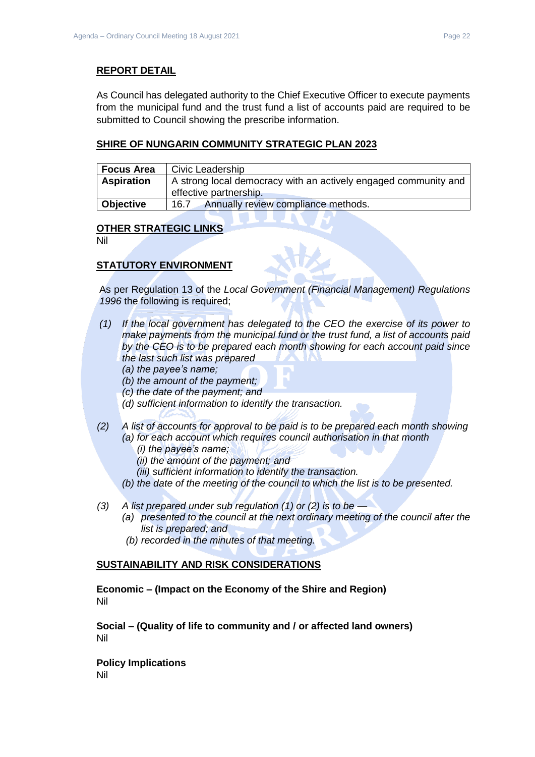#### **REPORT DETAIL**

As Council has delegated authority to the Chief Executive Officer to execute payments from the municipal fund and the trust fund a list of accounts paid are required to be submitted to Council showing the prescribe information.

#### **SHIRE OF NUNGARIN COMMUNITY STRATEGIC PLAN 2023**

| <b>Focus Area</b> | Civic Leadership                                                                          |
|-------------------|-------------------------------------------------------------------------------------------|
| <b>Aspiration</b> | A strong local democracy with an actively engaged community and<br>effective partnership. |
| Objective         | Annually review compliance methods.<br>16.7                                               |

#### **OTHER STRATEGIC LINKS**

Nil

## **STATUTORY ENVIRONMENT**

As per Regulation 13 of the *Local Government (Financial Management) Regulations 1996* the following is required;

- *(1) If the local government has delegated to the CEO the exercise of its power to make payments from the municipal fund or the trust fund, a list of accounts paid by the CEO is to be prepared each month showing for each account paid since the last such list was prepared* 
	- *(a) the payee's name;*
	- *(b) the amount of the payment;*
	- *(c) the date of the payment; and*
	- *(d) sufficient information to identify the transaction.*
- *(2) A list of accounts for approval to be paid is to be prepared each month showing (a) for each account which requires council authorisation in that month* 
	- *(i) the payee's name;*
	- *(ii) the amount of the payment; and*
	- *(iii) sufficient information to identify the transaction.*
	- *(b) the date of the meeting of the council to which the list is to be presented.*
- *(3) A list prepared under sub regulation (1) or (2) is to be —*
	- *(a) presented to the council at the next ordinary meeting of the council after the list is prepared; and*
	- *(b) recorded in the minutes of that meeting.*

#### **SUSTAINABILITY AND RISK CONSIDERATIONS**

**Economic – (Impact on the Economy of the Shire and Region)** Nil

**Social – (Quality of life to community and / or affected land owners)** Nil

**Policy Implications** Nil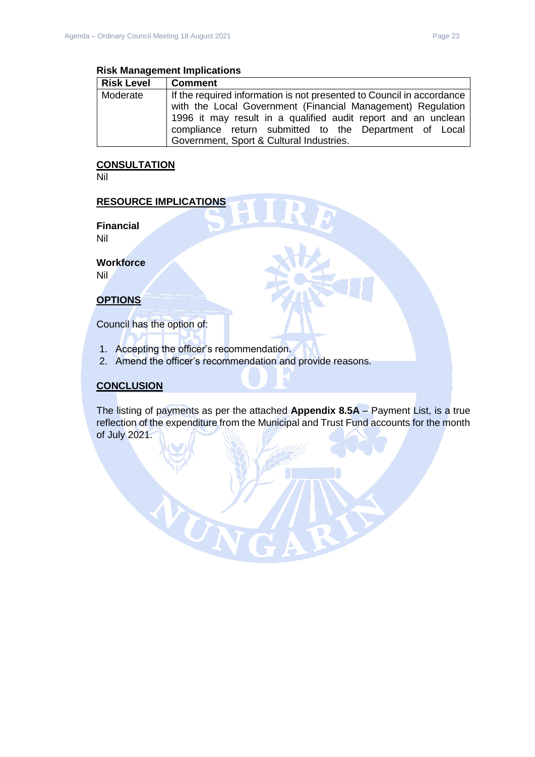#### **Risk Management Implications**

| <b>Risk Level</b> | <b>Comment</b>                                                                                                                                                      |  |  |  |
|-------------------|---------------------------------------------------------------------------------------------------------------------------------------------------------------------|--|--|--|
| Moderate          | If the required information is not presented to Council in accordance<br>with the Local Government (Financial Management) Regulation                                |  |  |  |
|                   | 1996 it may result in a qualified audit report and an unclean<br>compliance return submitted to the Department of Local<br>Government, Sport & Cultural Industries. |  |  |  |

## **CONSULTATION**

Nil

#### **RESOURCE IMPLICATIONS**

**Financial** Nil

**Workforce**

Nil

## **OPTIONS**

Council has the option of:

1. Accepting the officer's recommendation.

UT

2. Amend the officer's recommendation and provide reasons.

#### **CONCLUSION**

The listing of payments as per the attached **Appendix 8.5A** – Payment List, is a true reflection of the expenditure from the Municipal and Trust Fund accounts for the month of July 2021.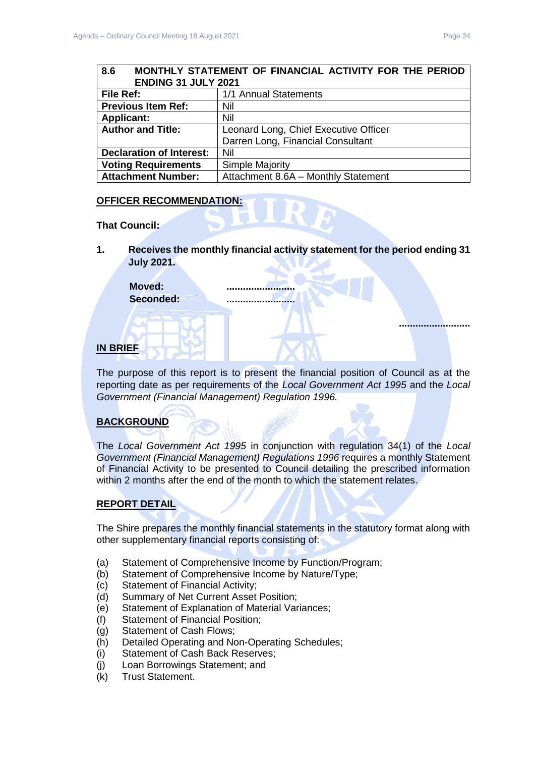## <span id="page-23-0"></span>**8.6 MONTHLY STATEMENT OF FINANCIAL ACTIVITY FOR THE PERIOD ENDING 31 JULY 2021 File Ref:** 1/1 Annual Statements **Previous Item Ref:** Nil **Applicant:** Nil **Author and Title:** Leonard Long, Chief Executive Officer

|                                 | Darren Long, Financial Consultant   |  |  |
|---------------------------------|-------------------------------------|--|--|
| <b>Declaration of Interest:</b> | Nil                                 |  |  |
| <b>Voting Requirements</b>      | <b>Simple Majority</b>              |  |  |
| <b>Attachment Number:</b>       | Attachment 8.6A - Monthly Statement |  |  |
|                                 |                                     |  |  |

#### **OFFICER RECOMMENDATION:**

**That Council:**

**1. Receives the monthly financial activity statement for the period ending 31 July 2021.**

Moved: **Seconded: .........................**

## **IN BRIEF**

The purpose of this report is to present the financial position of Council as at the reporting date as per requirements of the *Local Government Act 1995* and the *Local Government (Financial Management) Regulation 1996.*

## **BACKGROUND**

The *Local Government Act 1995* in conjunction with regulation 34(1) of the *Local Government (Financial Management) Regulations 1996* requires a monthly Statement of Financial Activity to be presented to Council detailing the prescribed information within 2 months after the end of the month to which the statement relates.

#### **REPORT DETAIL**

The Shire prepares the monthly financial statements in the statutory format along with other supplementary financial reports consisting of:

- (a) Statement of Comprehensive Income by Function/Program;
- (b) Statement of Comprehensive Income by Nature/Type;
- (c) Statement of Financial Activity;
- (d) Summary of Net Current Asset Position;
- (e) Statement of Explanation of Material Variances;
- (f) Statement of Financial Position;
- (g) Statement of Cash Flows;
- (h) Detailed Operating and Non-Operating Schedules;
- (i) Statement of Cash Back Reserves;
- (j) Loan Borrowings Statement; and
- (k) Trust Statement.

**..........................**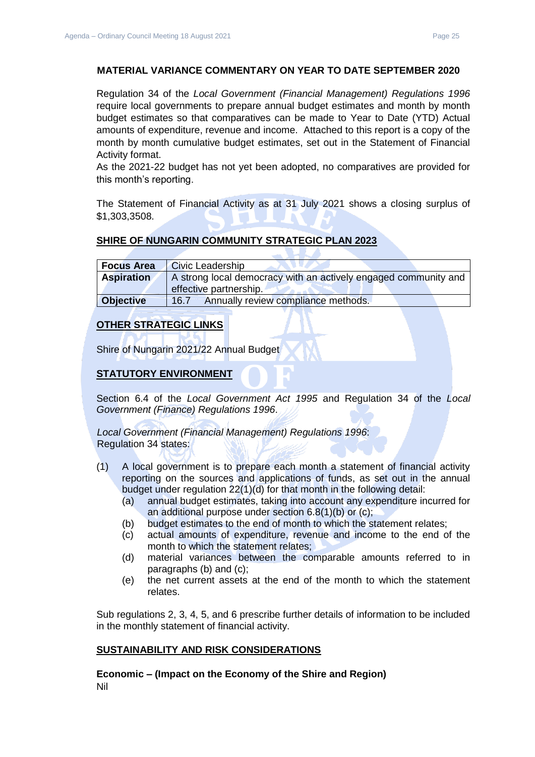#### **MATERIAL VARIANCE COMMENTARY ON YEAR TO DATE SEPTEMBER 2020**

Regulation 34 of the *Local Government (Financial Management) Regulations 1996*  require local governments to prepare annual budget estimates and month by month budget estimates so that comparatives can be made to Year to Date (YTD) Actual amounts of expenditure, revenue and income. Attached to this report is a copy of the month by month cumulative budget estimates, set out in the Statement of Financial Activity format.

As the 2021-22 budget has not yet been adopted, no comparatives are provided for this month's reporting.

The Statement of Financial Activity as at 31 July 2021 shows a closing surplus of \$1,303,3508.

## **SHIRE OF NUNGARIN COMMUNITY STRATEGIC PLAN 2023**

| <b>Focus Area</b> | <b>Civic Leadership</b>                                         |
|-------------------|-----------------------------------------------------------------|
| <b>Aspiration</b> | A strong local democracy with an actively engaged community and |
|                   | effective partnership.                                          |
| Objective         | Annually review compliance methods.<br>16.7                     |

#### **OTHER STRATEGIC LINKS**

Shire of Nungarin 2021/22 Annual Budget

#### **STATUTORY ENVIRONMENT**

Section 6.4 of the *Local Government Act 1995* and Regulation 34 of the *Local Government (Finance) Regulations 1996*.

*Local Government (Financial Management) Regulations 1996*: Regulation 34 states:

- (1) A local government is to prepare each month a statement of financial activity reporting on the sources and applications of funds, as set out in the annual budget under regulation 22(1)(d) for that month in the following detail:
	- (a) annual budget estimates, taking into account any expenditure incurred for an additional purpose under section 6.8(1)(b) or (c);
	- (b) budget estimates to the end of month to which the statement relates;
	- (c) actual amounts of expenditure, revenue and income to the end of the month to which the statement relates;
	- (d) material variances between the comparable amounts referred to in paragraphs (b) and (c);
	- (e) the net current assets at the end of the month to which the statement relates.

Sub regulations 2, 3, 4, 5, and 6 prescribe further details of information to be included in the monthly statement of financial activity.

#### **SUSTAINABILITY AND RISK CONSIDERATIONS**

**Economic – (Impact on the Economy of the Shire and Region)** Nil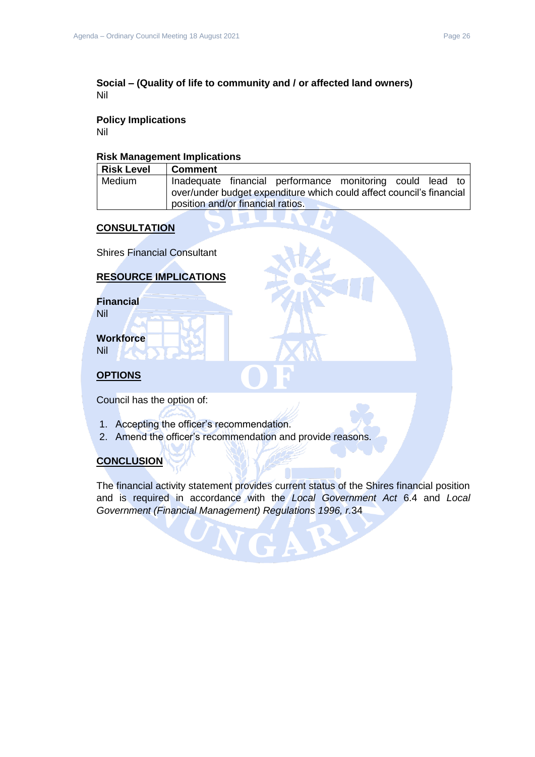#### **Social – (Quality of life to community and / or affected land owners)** Nil

## **Policy Implications**

Nil

#### **Risk Management Implications**

| <b>Risk Level</b> | Comment                                                              |  |  |  |
|-------------------|----------------------------------------------------------------------|--|--|--|
| Medium            | Inadequate financial performance monitoring could lead to            |  |  |  |
|                   | over/under budget expenditure which could affect council's financial |  |  |  |
|                   | position and/or financial ratios.                                    |  |  |  |

## **CONSULTATION**

Shires Financial Consultant

#### **RESOURCE IMPLICATIONS**

**Financial** Nil

**Workforce**

Nil

# **OPTIONS**

Council has the option of:

- 1. Accepting the officer's recommendation.
- 2. Amend the officer's recommendation and provide reasons.

## **CONCLUSION**

The financial activity statement provides current status of the Shires financial position and is required in accordance with the *Local Government Act* 6.4 and *Local Government (Financial Management) Regulations 1996, r.*34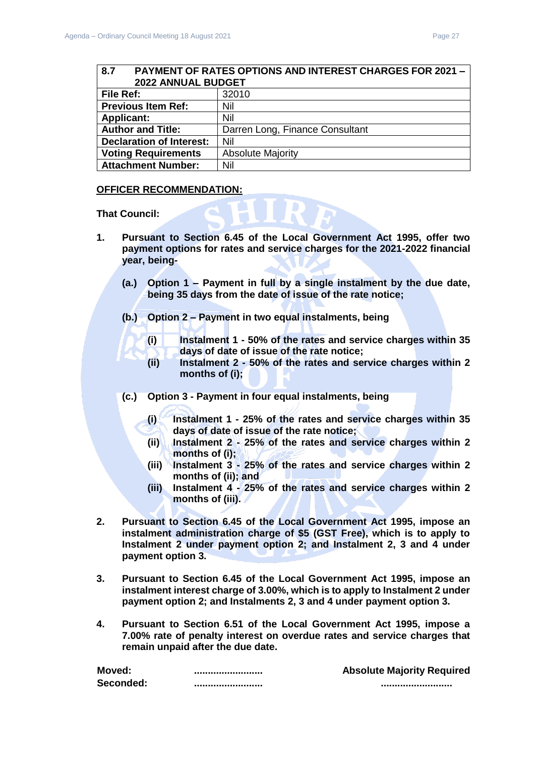<span id="page-26-0"></span>

| 8.7<br><b>PAYMENT OF RATES OPTIONS AND INTEREST CHARGES FOR 2021 -</b> |                                 |  |  |
|------------------------------------------------------------------------|---------------------------------|--|--|
| 2022 ANNUAL BUDGET                                                     |                                 |  |  |
| File Ref:                                                              | 32010                           |  |  |
| <b>Previous Item Ref:</b>                                              | Nil                             |  |  |
| <b>Applicant:</b>                                                      | Nil                             |  |  |
| <b>Author and Title:</b>                                               | Darren Long, Finance Consultant |  |  |
| <b>Declaration of Interest:</b>                                        | Nil                             |  |  |
| <b>Voting Requirements</b>                                             | <b>Absolute Majority</b>        |  |  |
| <b>Attachment Number:</b>                                              | Nil                             |  |  |

#### **OFFICER RECOMMENDATION:**

**That Council:** 

- **1. Pursuant to Section 6.45 of the Local Government Act 1995, offer two payment options for rates and service charges for the 2021-2022 financial year, being-**
	- **(a.) Option 1 – Payment in full by a single instalment by the due date, being 35 days from the date of issue of the rate notice;**
	- **(b.) Option 2 – Payment in two equal instalments, being** 
		- **(i) Instalment 1 - 50% of the rates and service charges within 35 days of date of issue of the rate notice;**
		- **(ii) Instalment 2 - 50% of the rates and service charges within 2 months of (i);**
	- **(c.) Option 3 - Payment in four equal instalments, being**
		- **(i) Instalment 1 - 25% of the rates and service charges within 35 days of date of issue of the rate notice;**
		- **(ii) Instalment 2 - 25% of the rates and service charges within 2 months of (i);**
		- **(iii) Instalment 3 - 25% of the rates and service charges within 2 months of (ii); and**
		- **(iii) Instalment 4 - 25% of the rates and service charges within 2 months of (iii).**
- **2. Pursuant to Section 6.45 of the Local Government Act 1995, impose an instalment administration charge of \$5 (GST Free), which is to apply to Instalment 2 under payment option 2; and Instalment 2, 3 and 4 under payment option 3.**
- **3. Pursuant to Section 6.45 of the Local Government Act 1995, impose an instalment interest charge of 3.00%, which is to apply to Instalment 2 under payment option 2; and Instalments 2, 3 and 4 under payment option 3.**
- **4. Pursuant to Section 6.51 of the Local Government Act 1995, impose a 7.00% rate of penalty interest on overdue rates and service charges that remain unpaid after the due date.**

| Moved:    | -------------------------- | <b>Absolute Majority Required</b> |  |
|-----------|----------------------------|-----------------------------------|--|
| Seconded: | -------------------------  | ---------------------------       |  |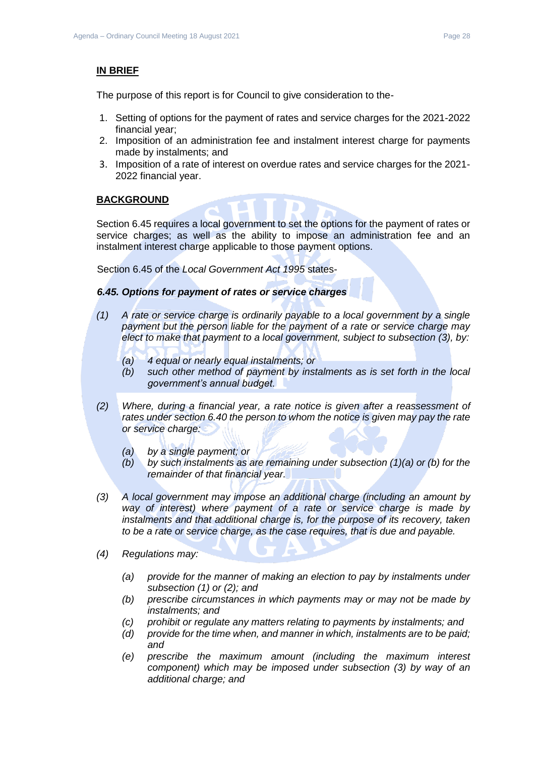#### **IN BRIEF**

The purpose of this report is for Council to give consideration to the-

- 1. Setting of options for the payment of rates and service charges for the 2021-2022 financial year;
- 2. Imposition of an administration fee and instalment interest charge for payments made by instalments; and
- 3. Imposition of a rate of interest on overdue rates and service charges for the 2021- 2022 financial year.

#### **BACKGROUND**

Section 6.45 requires a local government to set the options for the payment of rates or service charges; as well as the ability to impose an administration fee and an instalment interest charge applicable to those payment options.

Section 6.45 of the *Local Government Act 1995* states-

#### *6.45. Options for payment of rates or service charges*

- *(1) A rate or service charge is ordinarily payable to a local government by a single payment but the person liable for the payment of a rate or service charge may elect to make that payment to a local government, subject to subsection (3), by:*
	- *(a) 4 equal or nearly equal instalments; or*
	- *(b) such other method of payment by instalments as is set forth in the local government's annual budget.*
- *(2) Where, during a financial year, a rate notice is given after a reassessment of rates under section 6.40 the person to whom the notice is given may pay the rate or service charge:*
	- *(a) by a single payment; or*
	- *(b) by such instalments as are remaining under subsection (1)(a) or (b) for the remainder of that financial year.*
- *(3) A local government may impose an additional charge (including an amount by way of interest) where payment of a rate or service charge is made by instalments and that additional charge is, for the purpose of its recovery, taken to be a rate or service charge, as the case requires, that is due and payable.*
- *(4) Regulations may:*
	- *(a) provide for the manner of making an election to pay by instalments under subsection (1) or (2); and*
	- *(b) prescribe circumstances in which payments may or may not be made by instalments; and*
	- *(c) prohibit or regulate any matters relating to payments by instalments; and*
	- *(d) provide for the time when, and manner in which, instalments are to be paid; and*
	- *(e) prescribe the maximum amount (including the maximum interest component) which may be imposed under subsection (3) by way of an additional charge; and*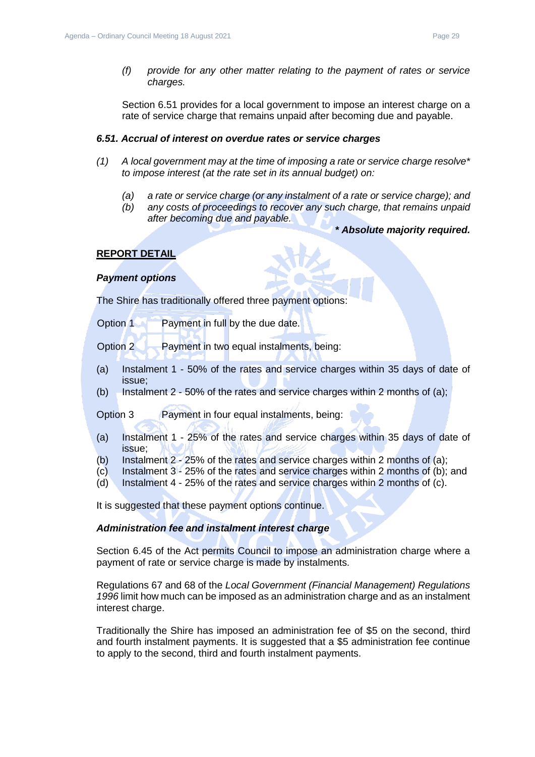*(f) provide for any other matter relating to the payment of rates or service charges.*

Section 6.51 provides for a local government to impose an interest charge on a rate of service charge that remains unpaid after becoming due and payable.

#### *6.51. Accrual of interest on overdue rates or service charges*

- *(1) A local government may at the time of imposing a rate or service charge resolve\* to impose interest (at the rate set in its annual budget) on:*
	- *(a) a rate or service charge (or any instalment of a rate or service charge); and*
	- *(b) any costs of proceedings to recover any such charge, that remains unpaid after becoming due and payable.*
		- *\* Absolute majority required.*

#### **REPORT DETAIL**

#### *Payment options*

The Shire has traditionally offered three payment options:

Option 1 Payment in full by the due date.

Option 2 Payment in two equal instalments, being:

- (a) Instalment 1 50% of the rates and service charges within 35 days of date of issue;
- (b) Instalment 2 50% of the rates and service charges within 2 months of (a);

Option 3 Payment in four equal instalments, being:

- (a) Instalment 1 25% of the rates and service charges within 35 days of date of issue;
- (b) Instalment  $2 25%$  of the rates and service charges within 2 months of (a);
- (c) Instalment 3 25% of the rates and service charges within 2 months of (b); and
- (d) Instalment 4 25% of the rates and service charges within 2 months of (c).

It is suggested that these payment options continue.

#### *Administration fee and instalment interest charge*

Section 6.45 of the Act permits Council to impose an administration charge where a payment of rate or service charge is made by instalments.

Regulations 67 and 68 of the *Local Government (Financial Management) Regulations 1996* limit how much can be imposed as an administration charge and as an instalment interest charge.

Traditionally the Shire has imposed an administration fee of \$5 on the second, third and fourth instalment payments. It is suggested that a \$5 administration fee continue to apply to the second, third and fourth instalment payments.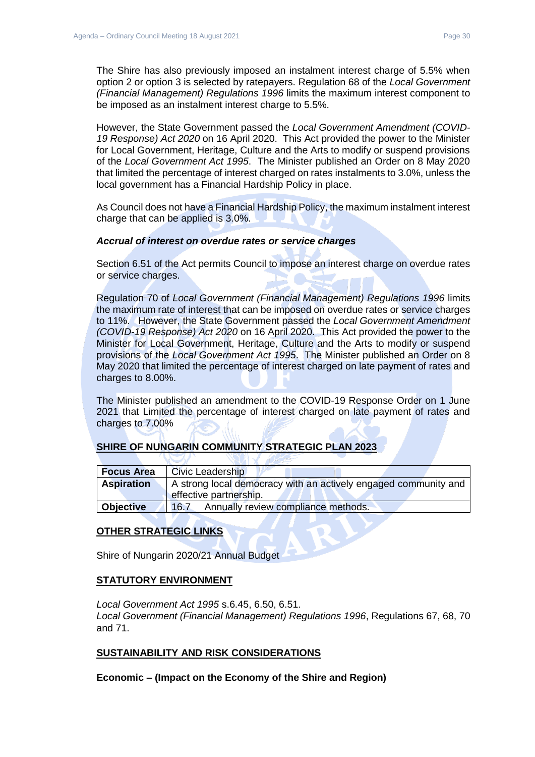The Shire has also previously imposed an instalment interest charge of 5.5% when option 2 or option 3 is selected by ratepayers. Regulation 68 of the *Local Government (Financial Management) Regulations 1996* limits the maximum interest component to be imposed as an instalment interest charge to 5.5%.

However, the State Government passed the *Local Government Amendment (COVID-19 Response) Act 2020* on 16 April 2020. This Act provided the power to the Minister for Local Government, Heritage, Culture and the Arts to modify or suspend provisions of the *Local Government Act 1995*. The Minister published an Order on 8 May 2020 that limited the percentage of interest charged on rates instalments to 3.0%, unless the local government has a Financial Hardship Policy in place.

As Council does not have a Financial Hardship Policy, the maximum instalment interest charge that can be applied is 3.0%.

#### *Accrual of interest on overdue rates or service charges*

Section 6.51 of the Act permits Council to impose an interest charge on overdue rates or service charges.

Regulation 70 of *Local Government (Financial Management) Regulations 1996* limits the maximum rate of interest that can be imposed on overdue rates or service charges to 11%. However, the State Government passed the *Local Government Amendment (COVID-19 Response) Act 2020* on 16 April 2020. This Act provided the power to the Minister for Local Government, Heritage, Culture and the Arts to modify or suspend provisions of the *Local Government Act 1995*. The Minister published an Order on 8 May 2020 that limited the percentage of interest charged on late payment of rates and charges to 8.00%.

The Minister published an amendment to the COVID-19 Response Order on 1 June 2021 that Limited the percentage of interest charged on late payment of rates and charges to 7.00%

#### **SHIRE OF NUNGARIN COMMUNITY STRATEGIC PLAN 2023**

| <b>Focus Area</b> | <b>Civic Leadership</b>                                                                   |
|-------------------|-------------------------------------------------------------------------------------------|
| <b>Aspiration</b> | A strong local democracy with an actively engaged community and<br>effective partnership. |
| <b>Objective</b>  | Annually review compliance methods.<br>16.7                                               |

#### **OTHER STRATEGIC LINKS**

Shire of Nungarin 2020/21 Annual Budget

#### **STATUTORY ENVIRONMENT**

*Local Government Act 1995* s.6.45, 6.50, 6.51. *Local Government (Financial Management) Regulations 1996*, Regulations 67, 68, 70 and 71.

#### **SUSTAINABILITY AND RISK CONSIDERATIONS**

**Economic – (Impact on the Economy of the Shire and Region)**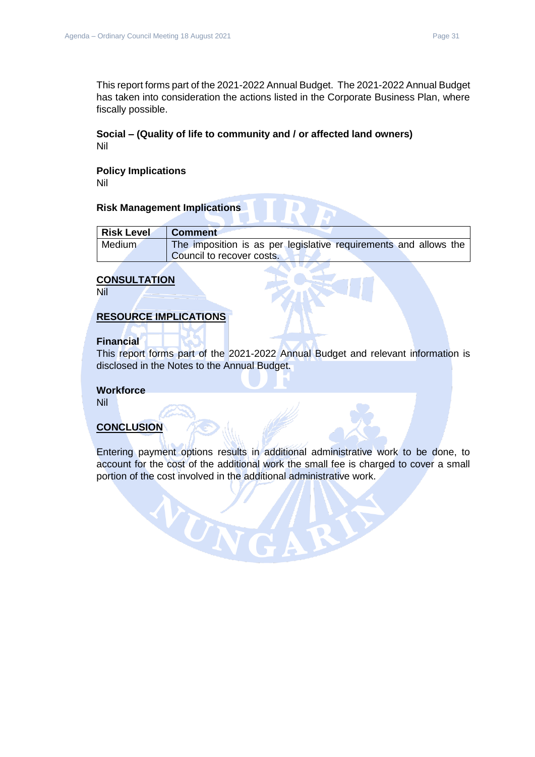This report forms part of the 2021-2022 Annual Budget. The 2021-2022 Annual Budget has taken into consideration the actions listed in the Corporate Business Plan, where fiscally possible.

#### **Social – (Quality of life to community and / or affected land owners)** Nil

## **Policy Implications**

Nil

#### **Risk Management Implications**

| <b>Risk Level</b> | <b>Comment</b>                                                   |
|-------------------|------------------------------------------------------------------|
| Medium            | The imposition is as per legislative requirements and allows the |
|                   | Council to recover costs.                                        |

#### **CONSULTATION**

Nil

#### **RESOURCE IMPLICATIONS**

WON

#### **Financial**

This report forms part of the 2021-2022 Annual Budget and relevant information is disclosed in the Notes to the Annual Budget.

#### **Workforce**

Nil

#### **CONCLUSION**

Entering payment options results in additional administrative work to be done, to account for the cost of the additional work the small fee is charged to cover a small portion of the cost involved in the additional administrative work.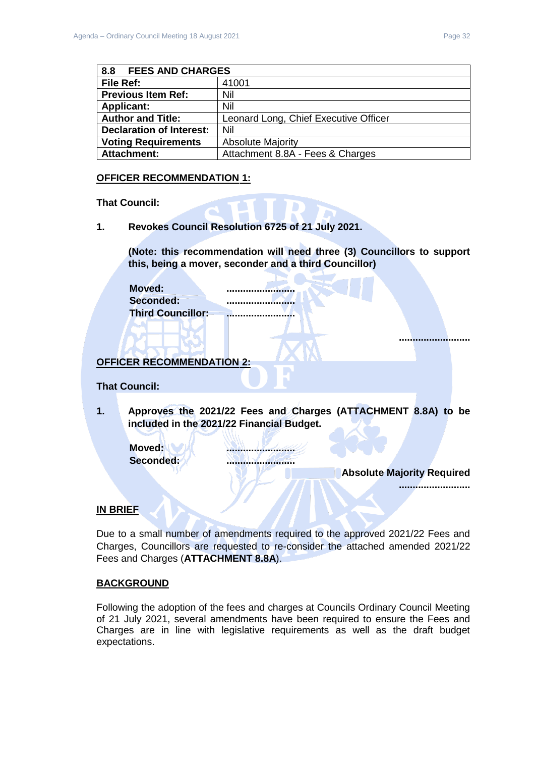<span id="page-31-0"></span>

| <b>FEES AND CHARGES</b><br>8.8  |                                       |  |
|---------------------------------|---------------------------------------|--|
| File Ref:                       | 41001                                 |  |
| <b>Previous Item Ref:</b>       | Nil                                   |  |
| <b>Applicant:</b>               | Nil                                   |  |
| <b>Author and Title:</b>        | Leonard Long, Chief Executive Officer |  |
| <b>Declaration of Interest:</b> | Nil                                   |  |
| <b>Voting Requirements</b>      | <b>Absolute Majority</b>              |  |
| <b>Attachment:</b>              | Attachment 8.8A - Fees & Charges      |  |

#### **OFFICER RECOMMENDATION 1:**

**That Council:**

**1. Revokes Council Resolution 6725 of 21 July 2021.**

**(Note: this recommendation will need three (3) Councillors to support this, being a mover, seconder and a third Councillor)**

**Moved: ......................... Seconded: ......................... Third Councillor: .........................**

**OFFICER RECOMMENDATION 2:**

#### **That Council:**

**1. Approves the 2021/22 Fees and Charges (ATTACHMENT 8.8A) to be included in the 2021/22 Financial Budget.**

**Moved: ......................... Seconded: .........................**

**Absolute Majority Required**

**..........................**

**..........................**

#### **IN BRIEF**

Due to a small number of amendments required to the approved 2021/22 Fees and Charges, Councillors are requested to re-consider the attached amended 2021/22 Fees and Charges (**ATTACHMENT 8.8A**).

#### **BACKGROUND**

Following the adoption of the fees and charges at Councils Ordinary Council Meeting of 21 July 2021, several amendments have been required to ensure the Fees and Charges are in line with legislative requirements as well as the draft budget expectations.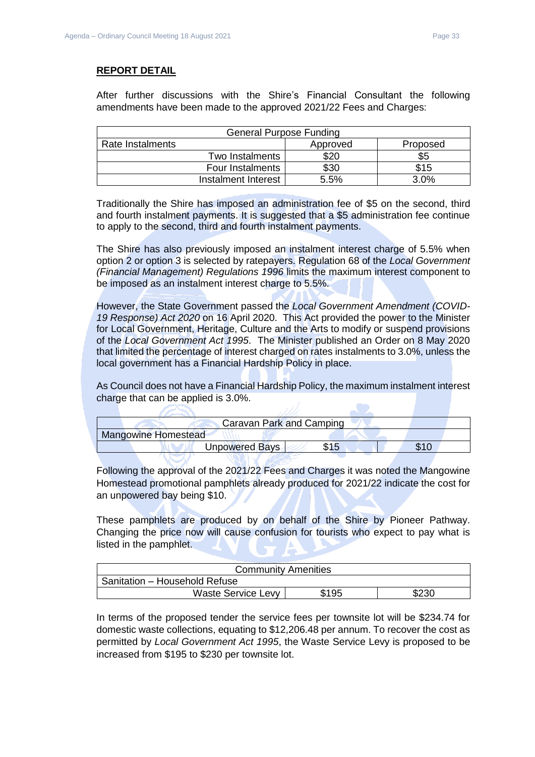After further discussions with the Shire's Financial Consultant the following amendments have been made to the approved 2021/22 Fees and Charges:

| <b>General Purpose Funding</b> |          |          |  |
|--------------------------------|----------|----------|--|
| Rate Instalments               | Approved | Proposed |  |
| Two Instalments                | \$20     | \$5      |  |
| Four Instalments               | \$30     | \$15     |  |
| Instalment Interest            | 5.5%     | 3.0%     |  |

Traditionally the Shire has imposed an administration fee of \$5 on the second, third and fourth instalment payments. It is suggested that a \$5 administration fee continue to apply to the second, third and fourth instalment payments.

The Shire has also previously imposed an instalment interest charge of 5.5% when option 2 or option 3 is selected by ratepayers. Regulation 68 of the *Local Government (Financial Management) Regulations 1996* limits the maximum interest component to be imposed as an instalment interest charge to 5.5%.

However, the State Government passed the *Local Government Amendment (COVID-19 Response) Act 2020* on 16 April 2020. This Act provided the power to the Minister for Local Government, Heritage, Culture and the Arts to modify or suspend provisions of the *Local Government Act 1995*. The Minister published an Order on 8 May 2020 that limited the percentage of interest charged on rates instalments to 3.0%, unless the local government has a Financial Hardship Policy in place.

As Council does not have a Financial Hardship Policy, the maximum instalment interest charge that can be applied is 3.0%.  $\overline{\phantom{a}}$ 

|                            | Caravan Park and Camping |  |
|----------------------------|--------------------------|--|
| <b>Mangowine Homestead</b> |                          |  |
|                            | Unpowered Bays           |  |
|                            |                          |  |

Following the approval of the 2021/22 Fees and Charges it was noted the Mangowine Homestead promotional pamphlets already produced for 2021/22 indicate the cost for an unpowered bay being \$10.

These pamphlets are produced by on behalf of the Shire by Pioneer Pathway. Changing the price now will cause confusion for tourists who expect to pay what is listed in the pamphlet.

| <b>Community Amenities</b>    |       |       |  |
|-------------------------------|-------|-------|--|
| Sanitation - Household Refuse |       |       |  |
| <b>Waste Service Levy</b>     | \$195 | \$230 |  |

In terms of the proposed tender the service fees per townsite lot will be \$234.74 for domestic waste collections, equating to \$12,206.48 per annum. To recover the cost as permitted by *Local Government Act 1995*, the Waste Service Levy is proposed to be increased from \$195 to \$230 per townsite lot.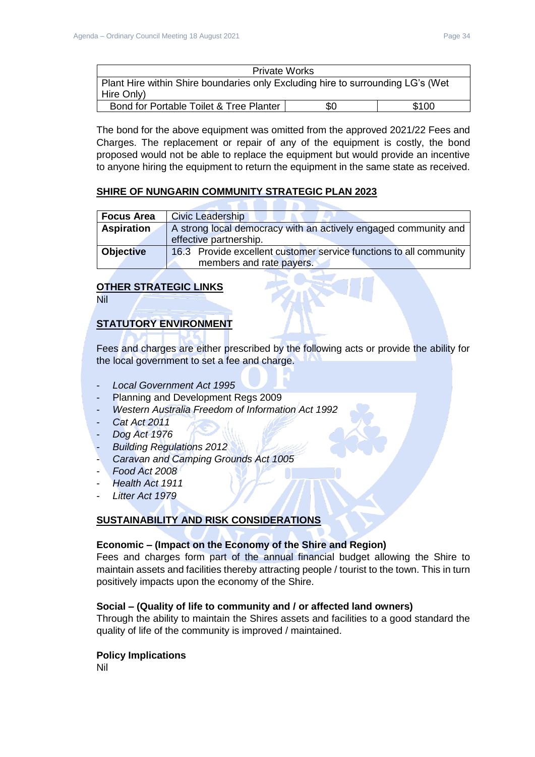| <b>Private Works</b>                                                            |     |       |
|---------------------------------------------------------------------------------|-----|-------|
| Plant Hire within Shire boundaries only Excluding hire to surrounding LG's (Wet |     |       |
| Hire Only)                                                                      |     |       |
| Bond for Portable Toilet & Tree Planter                                         | \$0 | \$100 |

The bond for the above equipment was omitted from the approved 2021/22 Fees and Charges. The replacement or repair of any of the equipment is costly, the bond proposed would not be able to replace the equipment but would provide an incentive to anyone hiring the equipment to return the equipment in the same state as received.

## **SHIRE OF NUNGARIN COMMUNITY STRATEGIC PLAN 2023**

| <b>Focus Area</b> | <b>Civic Leadership</b>                                            |
|-------------------|--------------------------------------------------------------------|
| <b>Aspiration</b> | A strong local democracy with an actively engaged community and    |
|                   | effective partnership.                                             |
| Objective         | 16.3 Provide excellent customer service functions to all community |
|                   | members and rate payers.                                           |

## **OTHER STRATEGIC LINKS**

Nil

## **STATUTORY ENVIRONMENT**

Fees and charges are either prescribed by the following acts or provide the ability for the local government to set a fee and charge.

- *Local Government Act 1995*
- Planning and Development Regs 2009
- *Western Australia Freedom of Information Act 1992*
- *Cat Act 2011*
- *Dog Act 1976*
- *Building Regulations 2012*
- *Caravan and Camping Grounds Act 1005*
- *Food Act 2008*
- *Health Act 1911*
- *Litter Act 1979*

## **SUSTAINABILITY AND RISK CONSIDERATIONS**

#### **Economic – (Impact on the Economy of the Shire and Region)**

Fees and charges form part of the annual financial budget allowing the Shire to maintain assets and facilities thereby attracting people / tourist to the town. This in turn positively impacts upon the economy of the Shire.

#### **Social – (Quality of life to community and / or affected land owners)**

Through the ability to maintain the Shires assets and facilities to a good standard the quality of life of the community is improved / maintained.

#### **Policy Implications**

Nil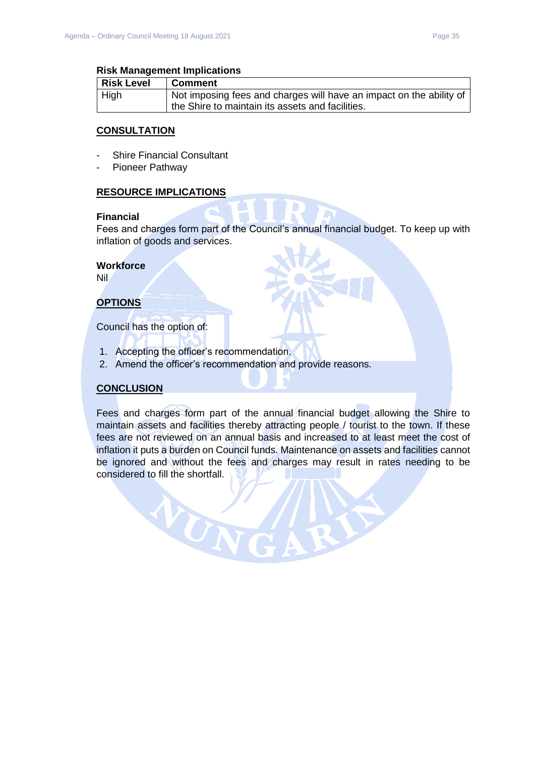| Risk Level  | <b>Comment</b>                                                      |
|-------------|---------------------------------------------------------------------|
| <b>High</b> | Not imposing fees and charges will have an impact on the ability of |
|             | the Shire to maintain its assets and facilities.                    |

#### **CONSULTATION**

- Shire Financial Consultant
- Pioneer Pathway

#### **RESOURCE IMPLICATIONS**

#### **Financial**

Fees and charges form part of the Council's annual financial budget. To keep up with inflation of goods and services.

#### **Workforce**

Nil

## **OPTIONS**

Council has the option of:

1. Accepting the officer's recommendation.

VON

2. Amend the officer's recommendation and provide reasons.

#### **CONCLUSION**

Fees and charges form part of the annual financial budget allowing the Shire to maintain assets and facilities thereby attracting people / tourist to the town. If these fees are not reviewed on an annual basis and increased to at least meet the cost of inflation it puts a burden on Council funds. Maintenance on assets and facilities cannot be ignored and without the fees and charges may result in rates needing to be considered to fill the shortfall.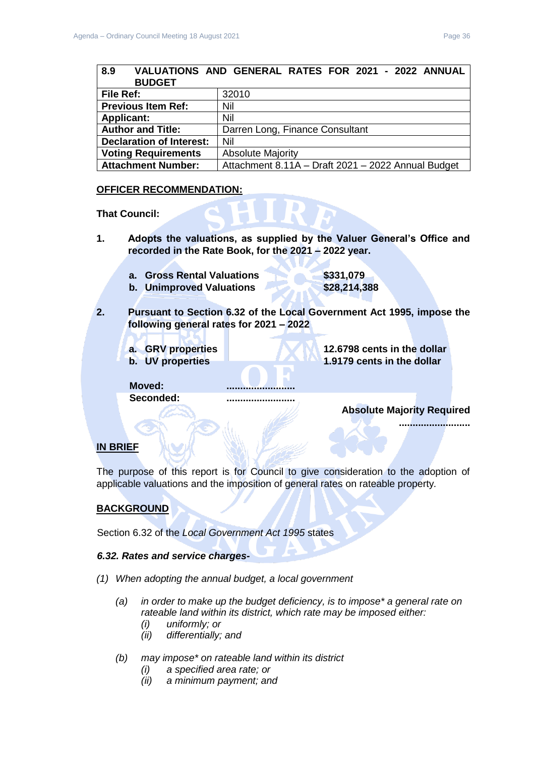<span id="page-35-0"></span>

| 8.9<br><b>BUDGET</b>            | VALUATIONS AND GENERAL RATES FOR 2021 - 2022 ANNUAL |
|---------------------------------|-----------------------------------------------------|
| File Ref:                       | 32010                                               |
| <b>Previous Item Ref:</b>       | Nil                                                 |
| <b>Applicant:</b>               | Nil                                                 |
| <b>Author and Title:</b>        | Darren Long, Finance Consultant                     |
| <b>Declaration of Interest:</b> | Nil                                                 |
| <b>Voting Requirements</b>      | <b>Absolute Majority</b>                            |
| <b>Attachment Number:</b>       | Attachment 8.11A - Draft 2021 - 2022 Annual Budget  |

#### **OFFICER RECOMMENDATION:**

#### **That Council:**

- **1. Adopts the valuations, as supplied by the Valuer General's Office and recorded in the Rate Book, for the 2021 – 2022 year.**
	- **a. Gross Rental Valuations \$331,079 b. Unimproved Valuations \$28,214,388**
- **2. Pursuant to Section 6.32 of the Local Government Act 1995, impose the following general rates for 2021 – 2022**
	-
	- **a. GRV properties 12.6798 cents in the dollar b.** UV properties **1.9179** cents in the dollar

Moved: **Seconded: .........................**

**Absolute Majority Required**

**..........................**

## **IN BRIEF**

The purpose of this report is for Council to give consideration to the adoption of applicable valuations and the imposition of general rates on rateable property*.*

#### **BACKGROUND**

Section 6.32 of the *Local Government Act 1995* states

#### *6.32. Rates and service charges-*

- *(1) When adopting the annual budget, a local government* 
	- *(a) in order to make up the budget deficiency, is to impose\* a general rate on rateable land within its district, which rate may be imposed either:* 
		- *(i) uniformly; or*
		- *(ii) differentially; and*
	- *(b) may impose\* on rateable land within its district* 
		- *(i) a specified area rate; or*
		- *(ii) a minimum payment; and*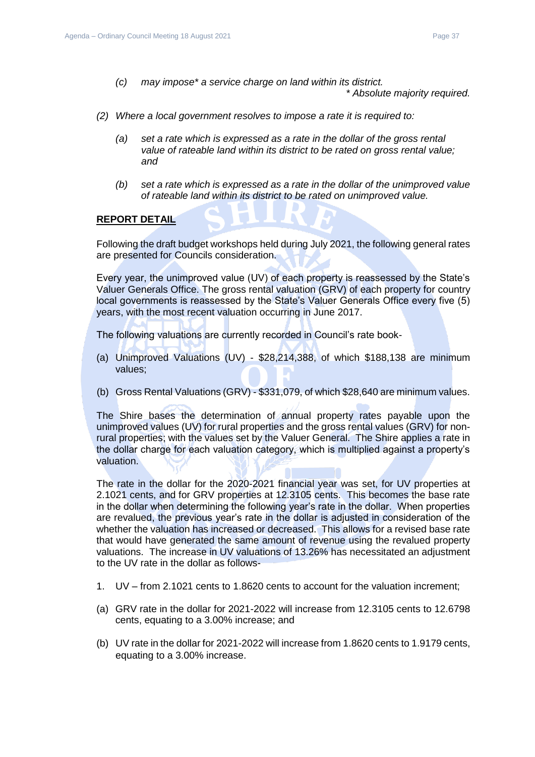*(c) may impose\* a service charge on land within its district.* 

*\* Absolute majority required.* 

- *(2) Where a local government resolves to impose a rate it is required to:* 
	- *(a) set a rate which is expressed as a rate in the dollar of the gross rental value of rateable land within its district to be rated on gross rental value; and*
	- *(b) set a rate which is expressed as a rate in the dollar of the unimproved value of rateable land within its district to be rated on unimproved value.*

#### **REPORT DETAIL**

Following the draft budget workshops held during July 2021, the following general rates are presented for Councils consideration.

Every year, the unimproved value (UV) of each property is reassessed by the State's Valuer Generals Office. The gross rental valuation (GRV) of each property for country local governments is reassessed by the State's Valuer Generals Office every five (5) years, with the most recent valuation occurring in June 2017.

The following valuations are currently recorded in Council's rate book-

- (a) Unimproved Valuations (UV) \$28,214,388, of which \$188,138 are minimum values;
- (b) Gross Rental Valuations (GRV) \$331,079, of which \$28,640 are minimum values.

The Shire bases the determination of annual property rates payable upon the unimproved values (UV) for rural properties and the gross rental values (GRV) for nonrural properties; with the values set by the Valuer General. The Shire applies a rate in the dollar charge for each valuation category, which is multiplied against a property's valuation.

The rate in the dollar for the 2020-2021 financial year was set, for UV properties at 2.1021 cents, and for GRV properties at 12.3105 cents. This becomes the base rate in the dollar when determining the following year's rate in the dollar. When properties are revalued, the previous year's rate in the dollar is adjusted in consideration of the whether the valuation has increased or decreased. This allows for a revised base rate that would have generated the same amount of revenue using the revalued property valuations. The increase in UV valuations of 13.26% has necessitated an adjustment to the UV rate in the dollar as follows-

- 1. UV from 2.1021 cents to 1.8620 cents to account for the valuation increment;
- (a) GRV rate in the dollar for 2021-2022 will increase from 12.3105 cents to 12.6798 cents, equating to a 3.00% increase; and
- (b) UV rate in the dollar for 2021-2022 will increase from 1.8620 cents to 1.9179 cents, equating to a 3.00% increase.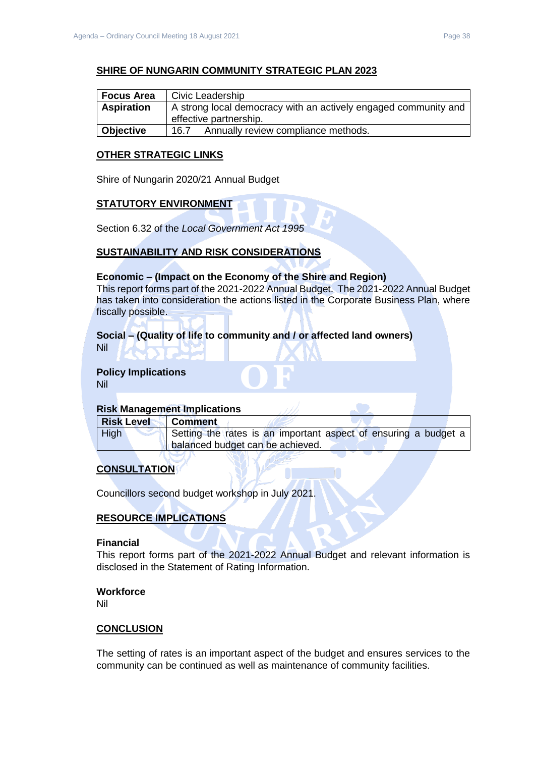#### **SHIRE OF NUNGARIN COMMUNITY STRATEGIC PLAN 2023**

| <b>Focus Area</b> | Civic Leadership                                                |
|-------------------|-----------------------------------------------------------------|
| <b>Aspiration</b> | A strong local democracy with an actively engaged community and |
|                   | effective partnership.                                          |
| Objective         | Annually review compliance methods.<br>16.7                     |

#### **OTHER STRATEGIC LINKS**

Shire of Nungarin 2020/21 Annual Budget

#### **STATUTORY ENVIRONMENT**

Section 6.32 of the *Local Government Act 1995*

#### **SUSTAINABILITY AND RISK CONSIDERATIONS**

#### **Economic – (Impact on the Economy of the Shire and Region)**

This report forms part of the 2021-2022 Annual Budget. The 2021-2022 Annual Budget has taken into consideration the actions listed in the Corporate Business Plan, where fiscally possible.

# **Social – (Quality of life to community and / or affected land owners)**

Nil

#### **Policy Implications** Nil

#### **Risk Management Implications**

| <b>Risk Level</b> | ∣ Comment                                                       |
|-------------------|-----------------------------------------------------------------|
| High              | Setting the rates is an important aspect of ensuring a budget a |
|                   | balanced budget can be achieved.                                |

## **CONSULTATION**

Councillors second budget workshop in July 2021.

## **RESOURCE IMPLICATIONS**

#### **Financial**

This report forms part of the 2021-2022 Annual Budget and relevant information is disclosed in the Statement of Rating Information.

#### **Workforce**

Nil

#### **CONCLUSION**

The setting of rates is an important aspect of the budget and ensures services to the community can be continued as well as maintenance of community facilities.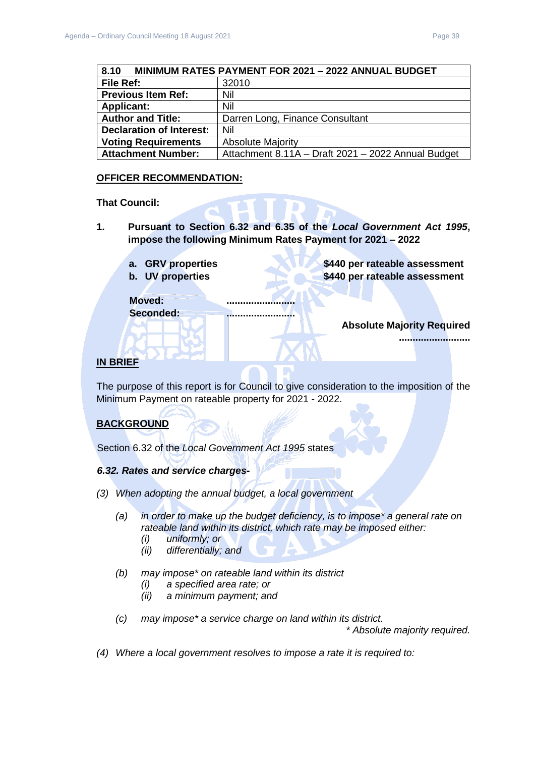<span id="page-38-0"></span>

| 8.10                            | MINIMUM RATES PAYMENT FOR 2021 - 2022 ANNUAL BUDGET |
|---------------------------------|-----------------------------------------------------|
| File Ref:                       | 32010                                               |
| <b>Previous Item Ref:</b>       | Nil                                                 |
| <b>Applicant:</b>               | Nil                                                 |
| <b>Author and Title:</b>        | Darren Long, Finance Consultant                     |
| <b>Declaration of Interest:</b> | Nil                                                 |
| <b>Voting Requirements</b>      | <b>Absolute Majority</b>                            |
| <b>Attachment Number:</b>       | Attachment 8.11A - Draft 2021 - 2022 Annual Budget  |

#### **OFFICER RECOMMENDATION:**

#### **That Council:**

- **1. Pursuant to Section 6.32 and 6.35 of the** *Local Government Act 1995***, impose the following Minimum Rates Payment for 2021 – 2022**
	- **a. GRV properties \$440 per rateable assessment**
	- **b.** UV properties **\$440 per rateable assessment**

**Moved: .........................**

**Seconded: .........................**

**Absolute Majority Required**

**..........................**

#### **IN BRIEF**

The purpose of this report is for Council to give consideration to the imposition of the Minimum Payment on rateable property for 2021 - 2022.

#### **BACKGROUND**

Section 6.32 of the *Local Government Act 1995* states

#### *6.32. Rates and service charges-*

- *(3) When adopting the annual budget, a local government* 
	- *(a) in order to make up the budget deficiency, is to impose\* a general rate on rateable land within its district, which rate may be imposed either:* 
		- *(i) uniformly; or*
		- *(ii) differentially; and*
	- *(b) may impose\* on rateable land within its district* 
		- *(i) a specified area rate; or*
		- *(ii) a minimum payment; and*
	- *(c) may impose\* a service charge on land within its district.*

*\* Absolute majority required.* 

*(4) Where a local government resolves to impose a rate it is required to:*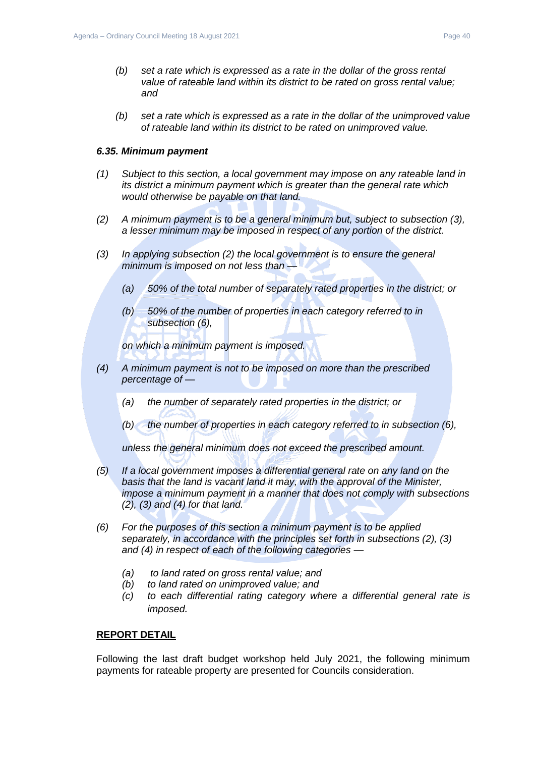*(b) set a rate which is expressed as a rate in the dollar of the unimproved value of rateable land within its district to be rated on unimproved value.*

#### *6.35. Minimum payment*

- *(1) Subject to this section, a local government may impose on any rateable land in its district a minimum payment which is greater than the general rate which would otherwise be payable on that land.*
- *(2) A minimum payment is to be a general minimum but, subject to subsection (3), a lesser minimum may be imposed in respect of any portion of the district.*
- *(3) In applying subsection (2) the local government is to ensure the general minimum is imposed on not less than —*
	- *(a) 50% of the total number of separately rated properties in the district; or*
	- *(b) 50% of the number of properties in each category referred to in subsection (6),*

*on which a minimum payment is imposed.*

- *(4) A minimum payment is not to be imposed on more than the prescribed percentage of —*
	- *(a) the number of separately rated properties in the district; or*
	- *(b) the number of properties in each category referred to in subsection (6),*

*unless the general minimum does not exceed the prescribed amount.*

- *(5) If a local government imposes a differential general rate on any land on the basis that the land is vacant land it may, with the approval of the Minister, impose a minimum payment in a manner that does not comply with subsections (2), (3) and (4) for that land.*
- *(6) For the purposes of this section a minimum payment is to be applied separately, in accordance with the principles set forth in subsections (2), (3) and (4) in respect of each of the following categories —*
	- *(a) to land rated on gross rental value; and*
	- *(b) to land rated on unimproved value; and*
	- *(c) to each differential rating category where a differential general rate is imposed.*

### **REPORT DETAIL**

Following the last draft budget workshop held July 2021, the following minimum payments for rateable property are presented for Councils consideration.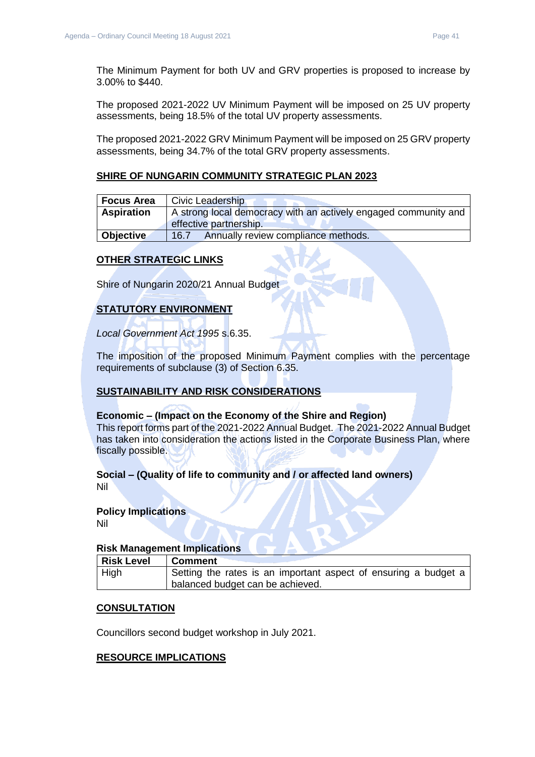The Minimum Payment for both UV and GRV properties is proposed to increase by 3.00% to \$440.

The proposed 2021-2022 UV Minimum Payment will be imposed on 25 UV property assessments, being 18.5% of the total UV property assessments.

The proposed 2021-2022 GRV Minimum Payment will be imposed on 25 GRV property assessments, being 34.7% of the total GRV property assessments.

#### **SHIRE OF NUNGARIN COMMUNITY STRATEGIC PLAN 2023**

| l Focus Area      | Civic Leadership                                                |
|-------------------|-----------------------------------------------------------------|
| <b>Aspiration</b> | A strong local democracy with an actively engaged community and |
|                   | effective partnership.                                          |
| Objective         | Annually review compliance methods.<br>16.7                     |

#### **OTHER STRATEGIC LINKS**

Shire of Nungarin 2020/21 Annual Budget

## **STATUTORY ENVIRONMENT**

*Local Government Act 1995* s.6.35.

The imposition of the proposed Minimum Payment complies with the percentage requirements of subclause (3) of Section 6.35.

#### **SUSTAINABILITY AND RISK CONSIDERATIONS**

#### **Economic – (Impact on the Economy of the Shire and Region)**

This report forms part of the 2021-2022 Annual Budget. The 2021-2022 Annual Budget has taken into consideration the actions listed in the Corporate Business Plan, where fiscally possible.

#### **Social – (Quality of life to community and / or affected land owners)**

Nil

#### **Policy Implications**

Nil

#### **Risk Management Implications**

| Risk Level | ∣ Comment                                                       |
|------------|-----------------------------------------------------------------|
| $ $ High   | Setting the rates is an important aspect of ensuring a budget a |
|            | balanced budget can be achieved.                                |

#### **CONSULTATION**

Councillors second budget workshop in July 2021.

#### **RESOURCE IMPLICATIONS**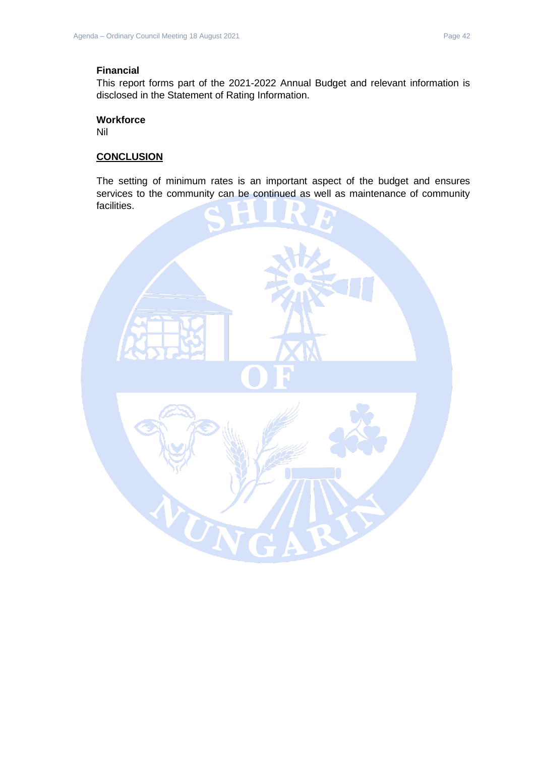#### **Financial**

This report forms part of the 2021-2022 Annual Budget and relevant information is disclosed in the Statement of Rating Information.

#### **Workforce**

Nil

#### **CONCLUSION**

The setting of minimum rates is an important aspect of the budget and ensures services to the community can be continued as well as maintenance of community facilities.

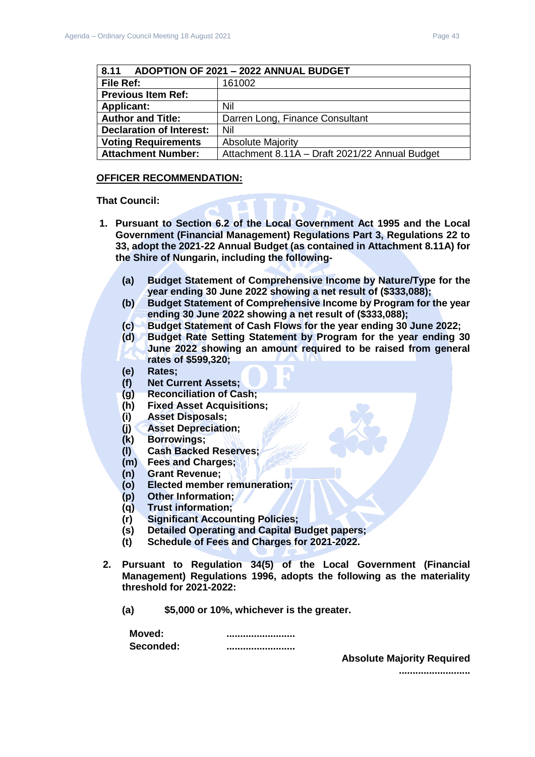<span id="page-42-0"></span>

| ADOPTION OF 2021 - 2022 ANNUAL BUDGET<br>8.11 |                                                |
|-----------------------------------------------|------------------------------------------------|
| File Ref:                                     | 161002                                         |
| <b>Previous Item Ref:</b>                     |                                                |
| <b>Applicant:</b>                             | Nil                                            |
| <b>Author and Title:</b>                      | Darren Long, Finance Consultant                |
| <b>Declaration of Interest:</b>               | Nil                                            |
| <b>Voting Requirements</b>                    | <b>Absolute Majority</b>                       |
| <b>Attachment Number:</b>                     | Attachment 8.11A - Draft 2021/22 Annual Budget |

#### **OFFICER RECOMMENDATION:**

#### **That Council:**

- **1. Pursuant to Section 6.2 of the Local Government Act 1995 and the Local Government (Financial Management) Regulations Part 3, Regulations 22 to 33, adopt the 2021-22 Annual Budget (as contained in Attachment 8.11A) for the Shire of Nungarin, including the following-**
	- **(a) Budget Statement of Comprehensive Income by Nature/Type for the year ending 30 June 2022 showing a net result of (\$333,088);**
	- **(b) Budget Statement of Comprehensive Income by Program for the year ending 30 June 2022 showing a net result of (\$333,088);**
	- **(c) Budget Statement of Cash Flows for the year ending 30 June 2022;**
	- **(d) Budget Rate Setting Statement by Program for the year ending 30 June 2022 showing an amount required to be raised from general rates of \$599,320;**
	- **(e) Rates;**
	- **(f) Net Current Assets;**
	- **(g) Reconciliation of Cash;**
	- **(h) Fixed Asset Acquisitions;**
	- **(i) Asset Disposals;**
	- **(j) Asset Depreciation;**
	- **(k) Borrowings;**
	- **(l) Cash Backed Reserves;**
	- **(m) Fees and Charges;**
	- **(n) Grant Revenue;**
	- **(o) Elected member remuneration;**
	- **(p) Other Information;**
	- **(q) Trust information;**
	- **(r) Significant Accounting Policies;**
	- **(s) Detailed Operating and Capital Budget papers;**
	- **(t) Schedule of Fees and Charges for 2021-2022.**
- **2. Pursuant to Regulation 34(5) of the Local Government (Financial Management) Regulations 1996, adopts the following as the materiality threshold for 2021-2022:**
	- **(a) \$5,000 or 10%, whichever is the greater.**

| Moved:    |  |
|-----------|--|
| Seconded: |  |

**Absolute Majority Required**

**..........................**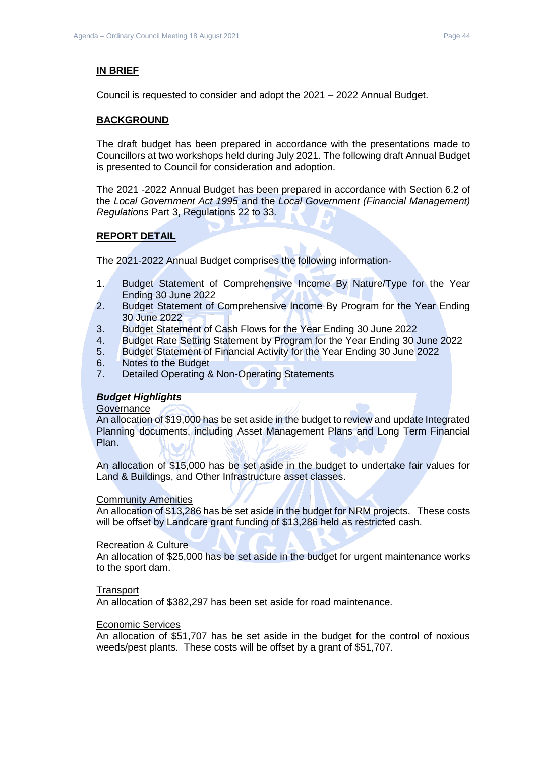#### **IN BRIEF**

Council is requested to consider and adopt the 2021 – 2022 Annual Budget.

#### **BACKGROUND**

The draft budget has been prepared in accordance with the presentations made to Councillors at two workshops held during July 2021. The following draft Annual Budget is presented to Council for consideration and adoption.

The 2021 -2022 Annual Budget has been prepared in accordance with Section 6.2 of the *Local Government Act 1995* and the *Local Government (Financial Management) Regulations* Part 3, Regulations 22 to 33.

#### **REPORT DETAIL**

The 2021-2022 Annual Budget comprises the following information-

- 1. Budget Statement of Comprehensive Income By Nature/Type for the Year Ending 30 June 2022
- 2. Budget Statement of Comprehensive Income By Program for the Year Ending 30 June 2022
- 3. Budget Statement of Cash Flows for the Year Ending 30 June 2022
- 4. Budget Rate Setting Statement by Program for the Year Ending 30 June 2022
- 5. Budget Statement of Financial Activity for the Year Ending 30 June 2022
- 6. Notes to the Budget
- 7. Detailed Operating & Non-Operating Statements

#### *Budget Highlights*

#### **Governance**

An allocation of \$19,000 has be set aside in the budget to review and update Integrated Planning documents, including Asset Management Plans and Long Term Financial Plan.

An allocation of \$15,000 has be set aside in the budget to undertake fair values for Land & Buildings, and Other Infrastructure asset classes.

#### Community Amenities

An allocation of \$13,286 has be set aside in the budget for NRM projects. These costs will be offset by Landcare grant funding of \$13,286 held as restricted cash.

#### Recreation & Culture

An allocation of \$25,000 has be set aside in the budget for urgent maintenance works to the sport dam.

#### **Transport**

An allocation of \$382,297 has been set aside for road maintenance.

#### Economic Services

An allocation of \$51,707 has be set aside in the budget for the control of noxious weeds/pest plants. These costs will be offset by a grant of \$51,707.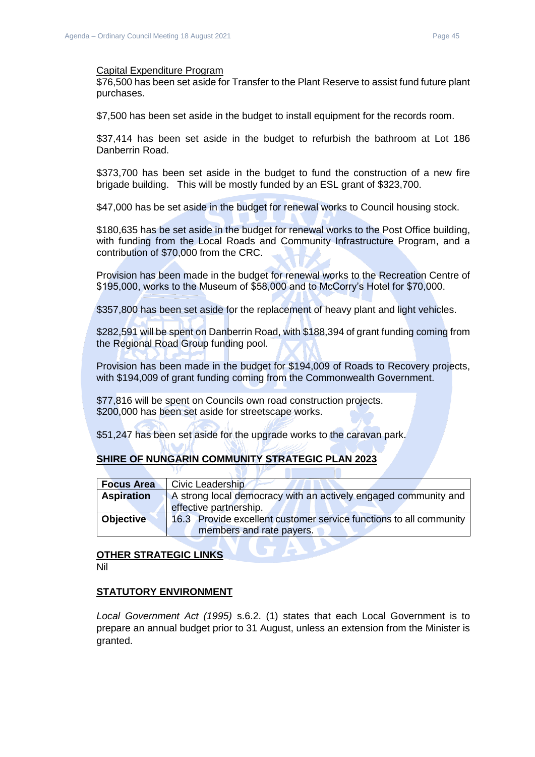#### Capital Expenditure Program

\$76,500 has been set aside for Transfer to the Plant Reserve to assist fund future plant purchases.

\$7,500 has been set aside in the budget to install equipment for the records room.

\$37,414 has been set aside in the budget to refurbish the bathroom at Lot 186 Danberrin Road.

\$373,700 has been set aside in the budget to fund the construction of a new fire brigade building. This will be mostly funded by an ESL grant of \$323,700.

\$47,000 has be set aside in the budget for renewal works to Council housing stock.

\$180,635 has be set aside in the budget for renewal works to the Post Office building, with funding from the Local Roads and Community Infrastructure Program, and a contribution of \$70,000 from the CRC.

Provision has been made in the budget for renewal works to the Recreation Centre of \$195,000, works to the Museum of \$58,000 and to McCorry's Hotel for \$70,000.

\$357,800 has been set aside for the replacement of heavy plant and light vehicles.

\$282,591 will be spent on Danberrin Road, with \$188,394 of grant funding coming from the Regional Road Group funding pool.

Provision has been made in the budget for \$194,009 of Roads to Recovery projects, with \$194,009 of grant funding coming from the Commonwealth Government.

\$77,816 will be spent on Councils own road construction projects. \$200,000 has been set aside for streetscape works.

\$51,247 has been set aside for the upgrade works to the caravan park.

#### **SHIRE OF NUNGARIN COMMUNITY STRATEGIC PLAN 2023**

| <b>Focus Area</b>             | Civic Leadership                                                   |
|-------------------------------|--------------------------------------------------------------------|
| <b>Aspiration</b>             | A strong local democracy with an actively engaged community and    |
|                               | effective partnership.                                             |
| <b>Objective</b>              | 16.3 Provide excellent customer service functions to all community |
|                               | members and rate payers.                                           |
|                               |                                                                    |
| <b>OTHED STRATE CIOLINIKS</b> |                                                                    |

# **OTHER STRATEGIC LINKS**

Nil

#### **STATUTORY ENVIRONMENT**

*Local Government Act (1995)* s.6.2. (1) states that each Local Government is to prepare an annual budget prior to 31 August, unless an extension from the Minister is granted.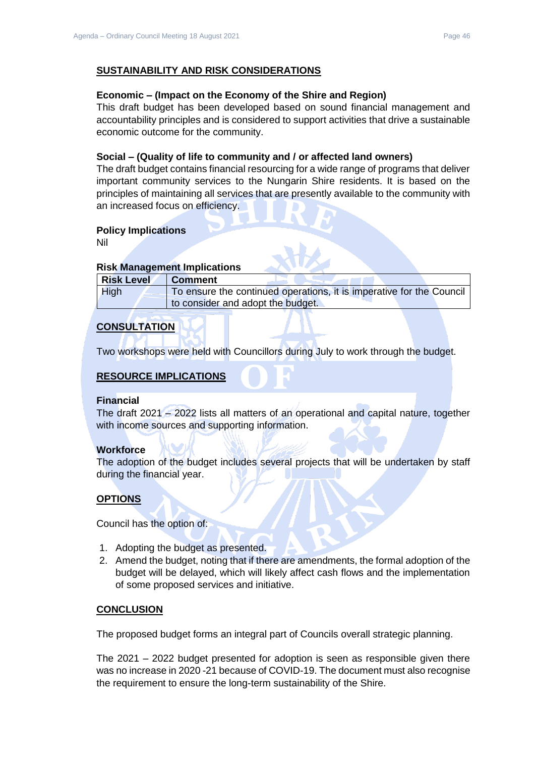#### **SUSTAINABILITY AND RISK CONSIDERATIONS**

#### **Economic – (Impact on the Economy of the Shire and Region)**

This draft budget has been developed based on sound financial management and accountability principles and is considered to support activities that drive a sustainable economic outcome for the community.

#### **Social – (Quality of life to community and / or affected land owners)**

The draft budget contains financial resourcing for a wide range of programs that deliver important community services to the Nungarin Shire residents. It is based on the principles of maintaining all services that are presently available to the community with an increased focus on efficiency.

#### **Policy Implications**

Nil

#### **Risk Management Implications**

| <b>Risk Level</b> | <b>Comment</b>                                                       |
|-------------------|----------------------------------------------------------------------|
| <b>High</b>       | To ensure the continued operations, it is imperative for the Council |
|                   | to consider and adopt the budget.                                    |

#### **CONSULTATION**

Two workshops were held with Councillors during July to work through the budget.

## **RESOURCE IMPLICATIONS**

#### **Financial**

The draft 2021 – 2022 lists all matters of an operational and capital nature, together with income sources and supporting information.

#### **Workforce**

The adoption of the budget includes several projects that will be undertaken by staff during the financial year.

#### **OPTIONS**

Council has the option of:

- 1. Adopting the budget as presented.
- 2. Amend the budget, noting that if there are amendments, the formal adoption of the budget will be delayed, which will likely affect cash flows and the implementation of some proposed services and initiative.

#### **CONCLUSION**

The proposed budget forms an integral part of Councils overall strategic planning.

The 2021 – 2022 budget presented for adoption is seen as responsible given there was no increase in 2020 -21 because of COVID-19. The document must also recognise the requirement to ensure the long-term sustainability of the Shire.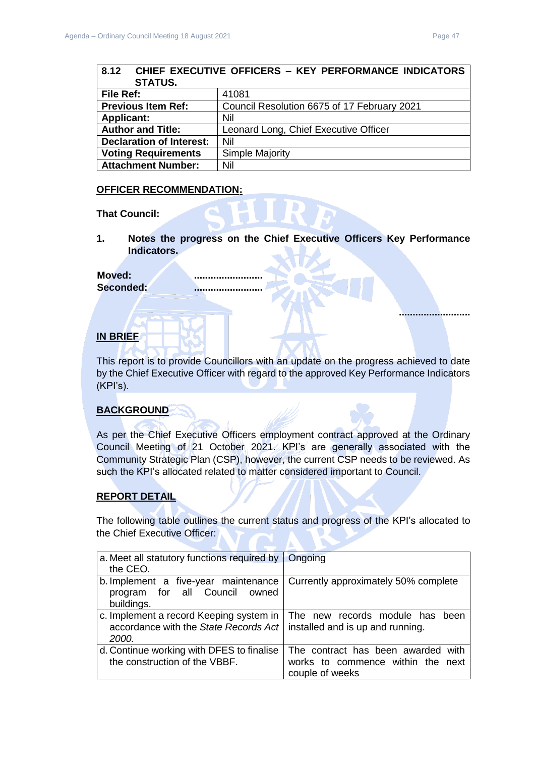**..........................**

<span id="page-46-0"></span>

| 8.12 CHIEF EXECUTIVE OFFICERS - KEY PERFORMANCE INDICATORS |                                             |  |  |  |  |
|------------------------------------------------------------|---------------------------------------------|--|--|--|--|
| <b>STATUS.</b>                                             |                                             |  |  |  |  |
| File Ref:                                                  | 41081                                       |  |  |  |  |
| <b>Previous Item Ref:</b>                                  | Council Resolution 6675 of 17 February 2021 |  |  |  |  |
| <b>Applicant:</b>                                          | Nil                                         |  |  |  |  |
| <b>Author and Title:</b>                                   | Leonard Long, Chief Executive Officer       |  |  |  |  |
| <b>Declaration of Interest:</b>                            | Nil                                         |  |  |  |  |
| <b>Voting Requirements</b>                                 | <b>Simple Majority</b>                      |  |  |  |  |
| <b>Attachment Number:</b>                                  | Nil                                         |  |  |  |  |

#### **OFFICER RECOMMENDATION:**

**That Council:**

**1. Notes the progress on the Chief Executive Officers Key Performance Indicators.**

#### Moved:

**Seconded: .........................**

#### **IN BRIEF**

This report is to provide Councillors with an update on the progress achieved to date by the Chief Executive Officer with regard to the approved Key Performance Indicators (KPI's).

#### **BACKGROUND**

As per the Chief Executive Officers employment contract approved at the Ordinary Council Meeting of 21 October 2021. KPI's are generally associated with the Community Strategic Plan (CSP), however, the current CSP needs to be reviewed. As such the KPI's allocated related to matter considered important to Council.

#### **REPORT DETAIL**

The following table outlines the current status and progress of the KPI's allocated to the Chief Executive Officer:

| a. Meet all statutory functions required by $\ $<br>the CEO.                              | Ongoing                                                                                    |  |  |
|-------------------------------------------------------------------------------------------|--------------------------------------------------------------------------------------------|--|--|
| b. Implement a five-year maintenance<br>program for all Council owned<br>buildings.       | Currently approximately 50% complete                                                       |  |  |
| c. Implement a record Keeping system in<br>accordance with the State Records Act<br>2000. | The new records module has been<br>installed and is up and running.                        |  |  |
| d. Continue working with DFES to finalise<br>the construction of the VBBF.                | The contract has been awarded with<br>works to commence within the next<br>couple of weeks |  |  |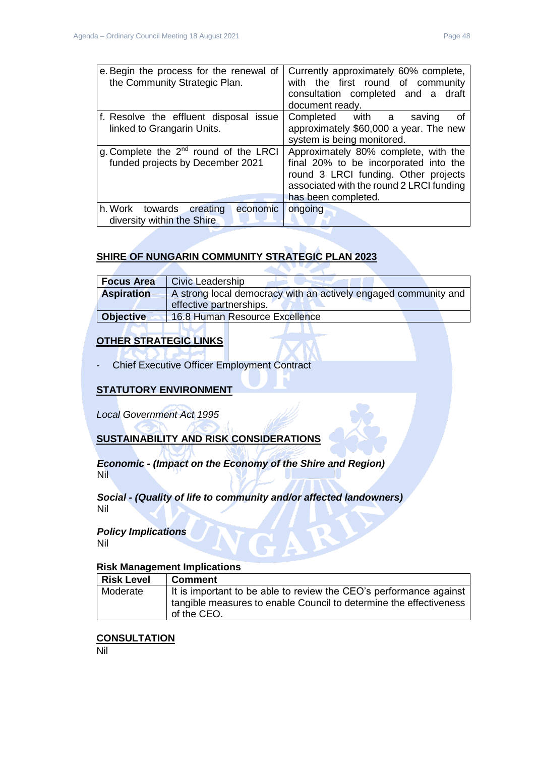| e. Begin the process for the renewal of<br>the Community Strategic Plan.       | Currently approximately 60% complete,<br>with the first round of community<br>consultation completed and a draft<br>document ready.                                                      |  |
|--------------------------------------------------------------------------------|------------------------------------------------------------------------------------------------------------------------------------------------------------------------------------------|--|
| f. Resolve the effluent disposal issue<br>linked to Grangarin Units.           | Completed with a<br>οf<br>saving<br>approximately \$60,000 a year. The new<br>system is being monitored.                                                                                 |  |
| g. Complete the $2^{nd}$ round of the LRCI<br>funded projects by December 2021 | Approximately 80% complete, with the<br>final 20% to be incorporated into the<br>round 3 LRCI funding. Other projects<br>associated with the round 2 LRCI funding<br>has been completed. |  |
| h. Work towards<br>creating<br>economic<br>diversity within the Shire          | ongoing                                                                                                                                                                                  |  |

## **SHIRE OF NUNGARIN COMMUNITY STRATEGIC PLAN 2023**

| <b>Focus Area</b> | <b>Civic Leadership</b>                                         |  |  |
|-------------------|-----------------------------------------------------------------|--|--|
| <b>Aspiration</b> | A strong local democracy with an actively engaged community and |  |  |
|                   | effective partnerships.                                         |  |  |
| <b>Objective</b>  | 16.8 Human Resource Excellence                                  |  |  |

## **OTHER STRATEGIC LINKS**

- Chief Executive Officer Employment Contract

## **STATUTORY ENVIRONMENT**

*Local Government Act 1995*

## **SUSTAINABILITY AND RISK CONSIDERATIONS**

*Economic - (Impact on the Economy of the Shire and Region)* Nil

*Social - (Quality of life to community and/or affected landowners)* Nil

#### *Policy Implications* Nil

#### **Risk Management Implications**

| Risk Level | Comment                                                            |
|------------|--------------------------------------------------------------------|
| Moderate   | It is important to be able to review the CEO's performance against |
|            | tangible measures to enable Council to determine the effectiveness |
|            | of the CEO.                                                        |

## **CONSULTATION**

Nil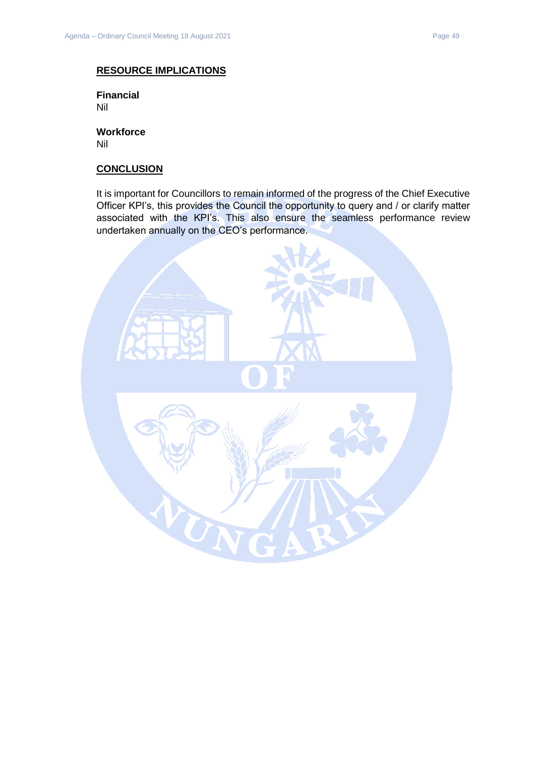#### **RESOURCE IMPLICATIONS**

**Financial** Nil

**Workforce** Nil

#### **CONCLUSION**

It is important for Councillors to remain informed of the progress of the Chief Executive Officer KPI's, this provides the Council the opportunity to query and / or clarify matter associated with the KPI's. This also ensure the seamless performance review undertaken annually on the CEO's performance.